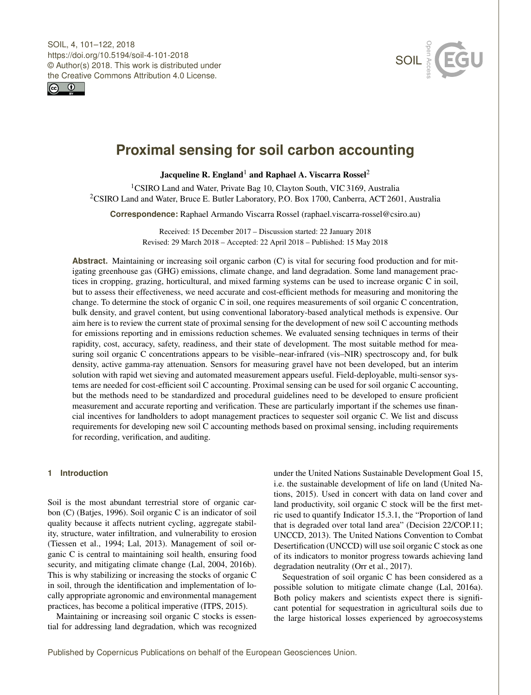<span id="page-0-1"></span>SOIL, 4, 101–122, 2018 https://doi.org/10.5194/soil-4-101-2018 © Author(s) 2018. This work is distributed under the Creative Commons Attribution 4.0 License.





# **Proximal sensing for soil carbon accounting**

Jacqueline R. England<sup>[1](#page-0-0)</sup> and Raphael A. Viscarra Rossel<sup>[2](#page-0-0)</sup>

<sup>1</sup>CSIRO Land and Water, Private Bag 10, Clayton South, VIC 3169, Australia <sup>2</sup>CSIRO Land and Water, Bruce E. Butler Laboratory, P.O. Box 1700, Canberra, ACT 2601, Australia

**Correspondence:** Raphael Armando Viscarra Rossel (raphael.viscarra-rossel@csiro.au)

Received: 15 December 2017 – Discussion started: 22 January 2018 Revised: 29 March 2018 – Accepted: 22 April 2018 – Published: 15 May 2018

**Abstract.** Maintaining or increasing soil organic carbon (C) is vital for securing food production and for mitigating greenhouse gas (GHG) emissions, climate change, and land degradation. Some land management practices in cropping, grazing, horticultural, and mixed farming systems can be used to increase organic C in soil, but to assess their effectiveness, we need accurate and cost-efficient methods for measuring and monitoring the change. To determine the stock of organic C in soil, one requires measurements of soil organic C concentration, bulk density, and gravel content, but using conventional laboratory-based analytical methods is expensive. Our aim here is to review the current state of proximal sensing for the development of new soil C accounting methods for emissions reporting and in emissions reduction schemes. We evaluated sensing techniques in terms of their rapidity, cost, accuracy, safety, readiness, and their state of development. The most suitable method for measuring soil organic C concentrations appears to be visible–near-infrared (vis–NIR) spectroscopy and, for bulk density, active gamma-ray attenuation. Sensors for measuring gravel have not been developed, but an interim solution with rapid wet sieving and automated measurement appears useful. Field-deployable, multi-sensor systems are needed for cost-efficient soil C accounting. Proximal sensing can be used for soil organic C accounting, but the methods need to be standardized and procedural guidelines need to be developed to ensure proficient measurement and accurate reporting and verification. These are particularly important if the schemes use financial incentives for landholders to adopt management practices to sequester soil organic C. We list and discuss requirements for developing new soil C accounting methods based on proximal sensing, including requirements for recording, verification, and auditing.

# <span id="page-0-0"></span>**1 Introduction**

Soil is the most abundant terrestrial store of organic carbon (C) [\(Batjes,](#page-16-0) [1996\)](#page-16-0). Soil organic C is an indicator of soil quality because it affects nutrient cycling, aggregate stability, structure, water infiltration, and vulnerability to erosion [\(Tiessen et al.,](#page-20-0) [1994;](#page-20-0) [Lal,](#page-18-0) [2013\)](#page-18-0). Management of soil organic C is central to maintaining soil health, ensuring food security, and mitigating climate change [\(Lal,](#page-18-1) [2004,](#page-18-1) [2016b\)](#page-18-2). This is why stabilizing or increasing the stocks of organic C in soil, through the identification and implementation of locally appropriate agronomic and environmental management practices, has become a political imperative [\(ITPS,](#page-18-3) [2015\)](#page-18-3).

Maintaining or increasing soil organic C stocks is essential for addressing land degradation, which was recognized under the United Nations Sustainable Development Goal 15, i.e. the sustainable development of life on land [\(United Na](#page-20-1)[tions,](#page-20-1) [2015\)](#page-20-1). Used in concert with data on land cover and land productivity, soil organic C stock will be the first metric used to quantify Indicator 15.3.1, the "Proportion of land that is degraded over total land area" (Decision 22/COP.11; [UNCCD,](#page-20-2) [2013\)](#page-20-2). The United Nations Convention to Combat Desertification (UNCCD) will use soil organic C stock as one of its indicators to monitor progress towards achieving land degradation neutrality [\(Orr et al.,](#page-19-0) [2017\)](#page-19-0).

Sequestration of soil organic C has been considered as a possible solution to mitigate climate change [\(Lal,](#page-18-4) [2016a\)](#page-18-4). Both policy makers and scientists expect there is significant potential for sequestration in agricultural soils due to the large historical losses experienced by agroecosystems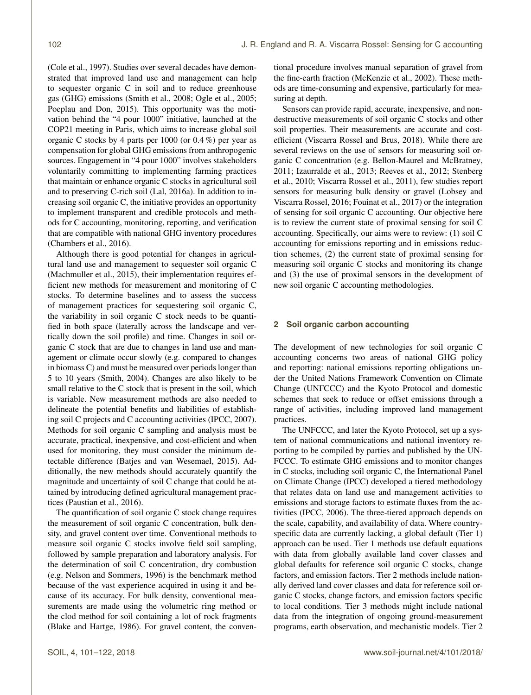[\(Cole et al.,](#page-17-0) [1997\)](#page-17-0). Studies over several decades have demonstrated that improved land use and management can help to sequester organic C in soil and to reduce greenhouse gas (GHG) emissions [\(Smith et al.,](#page-20-3) [2008;](#page-20-3) [Ogle et al.,](#page-19-1) [2005;](#page-19-1) [Poeplau and Don,](#page-19-2) [2015\)](#page-19-2). This opportunity was the motivation behind the "4 pour 1000" initiative, launched at the COP21 meeting in Paris, which aims to increase global soil organic C stocks by 4 parts per 1000 (or 0.4 %) per year as compensation for global GHG emissions from anthropogenic sources. Engagement in "4 pour 1000" involves stakeholders voluntarily committing to implementing farming practices that maintain or enhance organic C stocks in agricultural soil and to preserving C-rich soil [\(Lal,](#page-18-4) [2016a\)](#page-18-4). In addition to increasing soil organic C, the initiative provides an opportunity to implement transparent and credible protocols and methods for C accounting, monitoring, reporting, and verification that are compatible with national GHG inventory procedures [\(Chambers et al.,](#page-17-1) [2016\)](#page-17-1).

Although there is good potential for changes in agricultural land use and management to sequester soil organic C [\(Machmuller et al.,](#page-18-5) [2015\)](#page-18-5), their implementation requires efficient new methods for measurement and monitoring of C stocks. To determine baselines and to assess the success of management practices for sequestering soil organic C, the variability in soil organic C stock needs to be quantified in both space (laterally across the landscape and vertically down the soil profile) and time. Changes in soil organic C stock that are due to changes in land use and management or climate occur slowly (e.g. compared to changes in biomass C) and must be measured over periods longer than 5 to 10 years [\(Smith,](#page-20-4) [2004\)](#page-20-4). Changes are also likely to be small relative to the C stock that is present in the soil, which is variable. New measurement methods are also needed to delineate the potential benefits and liabilities of establishing soil C projects and C accounting activities [\(IPCC,](#page-18-6) [2007\)](#page-18-6). Methods for soil organic C sampling and analysis must be accurate, practical, inexpensive, and cost-efficient and when used for monitoring, they must consider the minimum detectable difference [\(Batjes and van Wesemael,](#page-16-1) [2015\)](#page-16-1). Additionally, the new methods should accurately quantify the magnitude and uncertainty of soil C change that could be attained by introducing defined agricultural management practices [\(Paustian et al.,](#page-19-3) [2016\)](#page-19-3).

The quantification of soil organic C stock change requires the measurement of soil organic C concentration, bulk density, and gravel content over time. Conventional methods to measure soil organic C stocks involve field soil sampling, followed by sample preparation and laboratory analysis. For the determination of soil C concentration, dry combustion (e.g. [Nelson and Sommers,](#page-19-4) [1996\)](#page-19-4) is the benchmark method because of the vast experience acquired in using it and because of its accuracy. For bulk density, conventional measurements are made using the volumetric ring method or the clod method for soil containing a lot of rock fragments [\(Blake and Hartge,](#page-16-2) [1986\)](#page-16-2). For gravel content, the conventional procedure involves manual separation of gravel from the fine-earth fraction [\(McKenzie et al.,](#page-19-5) [2002\)](#page-19-5). These methods are time-consuming and expensive, particularly for measuring at depth.

Sensors can provide rapid, accurate, inexpensive, and nondestructive measurements of soil organic C stocks and other soil properties. Their measurements are accurate and costefficient [\(Viscarra Rossel and Brus,](#page-21-0) [2018\)](#page-21-0). While there are several reviews on the use of sensors for measuring soil organic C concentration (e.g. [Bellon-Maurel and McBratney,](#page-16-3) [2011;](#page-16-3) [Izaurralde et al.,](#page-18-7) [2013;](#page-18-7) [Reeves et al.,](#page-19-6) [2012;](#page-19-6) [Stenberg](#page-20-5) [et al.,](#page-20-5) [2010;](#page-20-5) [Viscarra Rossel et al.,](#page-21-1) [2011\)](#page-21-1), few studies report sensors for measuring bulk density or gravel [\(Lobsey and](#page-18-8) [Viscarra Rossel,](#page-18-8) [2016;](#page-18-8) [Fouinat et al.,](#page-17-2) [2017\)](#page-17-2) or the integration of sensing for soil organic C accounting. Our objective here is to review the current state of proximal sensing for soil C accounting. Specifically, our aims were to review: (1) soil C accounting for emissions reporting and in emissions reduction schemes, (2) the current state of proximal sensing for measuring soil organic C stocks and monitoring its change and (3) the use of proximal sensors in the development of new soil organic C accounting methodologies.

#### **2 Soil organic carbon accounting**

The development of new technologies for soil organic C accounting concerns two areas of national GHG policy and reporting: national emissions reporting obligations under the United Nations Framework Convention on Climate Change (UNFCCC) and the Kyoto Protocol and domestic schemes that seek to reduce or offset emissions through a range of activities, including improved land management practices.

The UNFCCC, and later the Kyoto Protocol, set up a system of national communications and national inventory reporting to be compiled by parties and published by the UN-FCCC. To estimate GHG emissions and to monitor changes in C stocks, including soil organic C, the International Panel on Climate Change (IPCC) developed a tiered methodology that relates data on land use and management activities to emissions and storage factors to estimate fluxes from the activities [\(IPCC,](#page-18-9) [2006\)](#page-18-9). The three-tiered approach depends on the scale, capability, and availability of data. Where countryspecific data are currently lacking, a global default (Tier 1) approach can be used. Tier 1 methods use default equations with data from globally available land cover classes and global defaults for reference soil organic C stocks, change factors, and emission factors. Tier 2 methods include nationally derived land cover classes and data for reference soil organic C stocks, change factors, and emission factors specific to local conditions. Tier 3 methods might include national data from the integration of ongoing ground-measurement programs, earth observation, and mechanistic models. Tier 2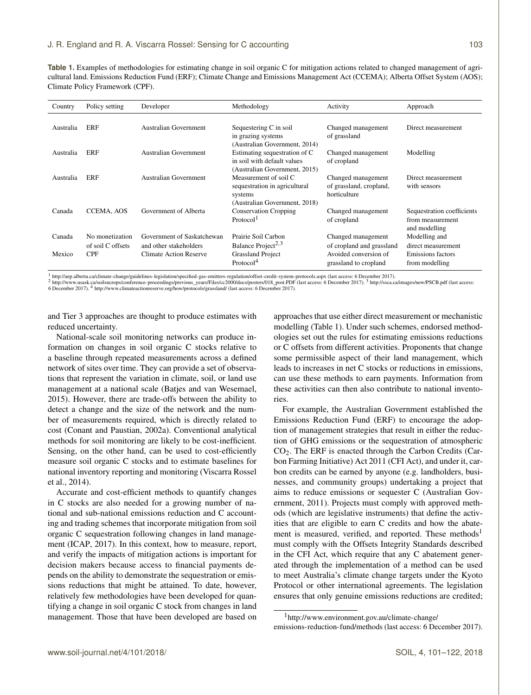<span id="page-2-0"></span>**Table 1.** Examples of methodologies for estimating change in soil organic C for mitigation actions related to changed management of agricultural land. Emissions Reduction Fund (ERF); Climate Change and Emissions Management Act (CCEMA); Alberta Offset System (AOS); Climate Policy Framework (CPF).

| Country   | Policy setting                  | Developer                                               | Methodology                                                                                        | Activity                                                                    | Approach                                                        |
|-----------|---------------------------------|---------------------------------------------------------|----------------------------------------------------------------------------------------------------|-----------------------------------------------------------------------------|-----------------------------------------------------------------|
| Australia | ERF                             | Australian Government                                   | Sequestering C in soil<br>in grazing systems<br>(Australian Government, 2014)                      | Changed management<br>of grassland                                          | Direct measurement                                              |
| Australia | ERF                             | <b>Australian Government</b>                            | Estimating sequestration of C<br>in soil with default values<br>(Australian Government, 2015)      | Changed management<br>of cropland                                           | Modelling                                                       |
| Australia | <b>ERF</b>                      | Australian Government                                   | Measurement of soil C<br>sequestration in agricultural<br>systems<br>(Australian Government, 2018) | Changed management<br>of grassland, cropland,<br>horticulture               | Direct measurement<br>with sensors                              |
| Canada    | CCEMA, AOS                      | Government of Alberta                                   | <b>Conservation Cropping</b><br>Protocol <sup>1</sup>                                              | Changed management<br>of cropland                                           | Sequestration coefficients<br>from measurement<br>and modelling |
| Canada    | No monetization                 | Government of Saskatchewan                              | Prairie Soil Carbon                                                                                | Changed management                                                          | Modelling and                                                   |
| Mexico    | of soil C offsets<br><b>CPF</b> | and other stakeholders<br><b>Climate Action Reserve</b> | Balance Project <sup>2,3</sup><br><b>Grassland Project</b><br>Protocol <sup>4</sup>                | of cropland and grassland<br>Avoided conversion of<br>grassland to cropland | direct measurement<br>Emissions factors<br>from modelling       |

<sup>1</sup> <http://aep.alberta.ca/climate-change/guidelines-legislation/specified-gas-emitters-regulation/offset-credit-system-protocols.aspx> (last access: 6 December 2017).<br><sup>2</sup> http://www.usask.ca/soilsncrops/conference-proceedin 6 December 2017). <sup>4</sup> <http://www.climateactionreserve.org/how/protocols/grassland/> (last access: 6 December 2017).

and Tier 3 approaches are thought to produce estimates with reduced uncertainty.

National-scale soil monitoring networks can produce information on changes in soil organic C stocks relative to a baseline through repeated measurements across a defined network of sites over time. They can provide a set of observations that represent the variation in climate, soil, or land use management at a national scale [\(Batjes and van Wesemael,](#page-16-1) [2015\)](#page-16-1). However, there are trade-offs between the ability to detect a change and the size of the network and the number of measurements required, which is directly related to cost [\(Conant and Paustian,](#page-17-3) [2002a\)](#page-17-3). Conventional analytical methods for soil monitoring are likely to be cost-inefficient. Sensing, on the other hand, can be used to cost-efficiently measure soil organic C stocks and to estimate baselines for national inventory reporting and monitoring [\(Viscarra Rossel](#page-21-2) [et al.,](#page-21-2) [2014\)](#page-21-2).

Accurate and cost-efficient methods to quantify changes in C stocks are also needed for a growing number of national and sub-national emissions reduction and C accounting and trading schemes that incorporate mitigation from soil organic C sequestration following changes in land management [\(ICAP,](#page-18-10) [2017\)](#page-18-10). In this context, how to measure, report, and verify the impacts of mitigation actions is important for decision makers because access to financial payments depends on the ability to demonstrate the sequestration or emissions reductions that might be attained. To date, however, relatively few methodologies have been developed for quantifying a change in soil organic C stock from changes in land management. Those that have been developed are based on

approaches that use either direct measurement or mechanistic modelling (Table [1\)](#page-2-0). Under such schemes, endorsed methodologies set out the rules for estimating emissions reductions or C offsets from different activities. Proponents that change some permissible aspect of their land management, which leads to increases in net C stocks or reductions in emissions, can use these methods to earn payments. Information from these activities can then also contribute to national inventories.

For example, the Australian Government established the Emissions Reduction Fund (ERF) to encourage the adoption of management strategies that result in either the reduction of GHG emissions or the sequestration of atmospheric CO2. The ERF is enacted through the Carbon Credits (Carbon Farming Initiative) Act 2011 (CFI Act), and under it, carbon credits can be earned by anyone (e.g. landholders, businesses, and community groups) undertaking a project that aims to reduce emissions or sequester C [\(Australian Gov](#page-16-7)[ernment,](#page-16-7) [2011\)](#page-16-7). Projects must comply with approved methods (which are legislative instruments) that define the activities that are eligible to earn C credits and how the abatement is measured, verified, and reported. These methods<sup>1</sup> must comply with the Offsets Integrity Standards described in the CFI Act, which require that any C abatement generated through the implementation of a method can be used to meet Australia's climate change targets under the Kyoto Protocol or other international agreements. The legislation ensures that only genuine emissions reductions are credited;

<sup>1</sup>[http://www.environment.gov.au/climate-change/](http://www.environment.gov.au/climate-change/emissions-reduction-fund/methods)

[emissions-reduction-fund/methods](http://www.environment.gov.au/climate-change/emissions-reduction-fund/methods) (last access: 6 December 2017).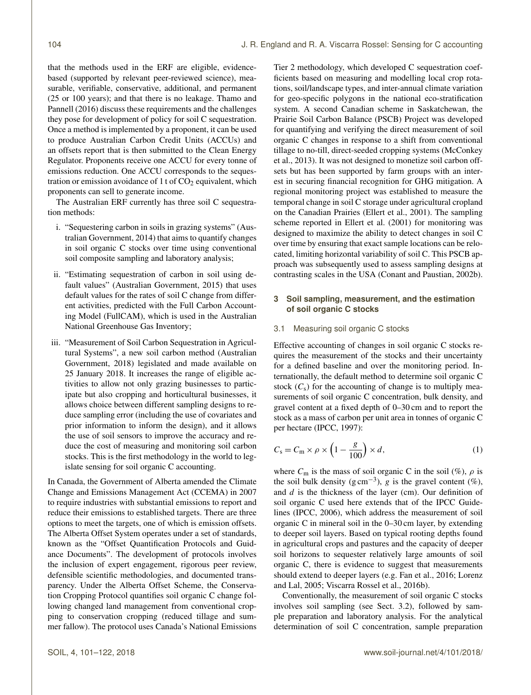that the methods used in the ERF are eligible, evidencebased (supported by relevant peer-reviewed science), measurable, verifiable, conservative, additional, and permanent (25 or 100 years); and that there is no leakage. [Thamo and](#page-20-6) [Pannell](#page-20-6) [\(2016\)](#page-20-6) discuss these requirements and the challenges they pose for development of policy for soil C sequestration. Once a method is implemented by a proponent, it can be used to produce Australian Carbon Credit Units (ACCUs) and an offsets report that is then submitted to the Clean Energy Regulator. Proponents receive one ACCU for every tonne of emissions reduction. One ACCU corresponds to the sequestration or emission avoidance of 1 t of  $CO<sub>2</sub>$  equivalent, which proponents can sell to generate income.

The Australian ERF currently has three soil C sequestration methods:

- i. "Sequestering carbon in soils in grazing systems" [\(Aus](#page-16-4)[tralian Government,](#page-16-4) [2014\)](#page-16-4) that aims to quantify changes in soil organic C stocks over time using conventional soil composite sampling and laboratory analysis;
- ii. "Estimating sequestration of carbon in soil using default values" [\(Australian Government,](#page-16-5) [2015\)](#page-16-5) that uses default values for the rates of soil C change from different activities, predicted with the Full Carbon Accounting Model (FullCAM), which is used in the Australian National Greenhouse Gas Inventory;
- iii. "Measurement of Soil Carbon Sequestration in Agricultural Systems", a new soil carbon method [\(Australian](#page-16-6) [Government,](#page-16-6) [2018\)](#page-16-6) legislated and made available on 25 January 2018. It increases the range of eligible activities to allow not only grazing businesses to participate but also cropping and horticultural businesses, it allows choice between different sampling designs to reduce sampling error (including the use of covariates and prior information to inform the design), and it allows the use of soil sensors to improve the accuracy and reduce the cost of measuring and monitoring soil carbon stocks. This is the first methodology in the world to legislate sensing for soil organic C accounting.

In Canada, the Government of Alberta amended the Climate Change and Emissions Management Act (CCEMA) in 2007 to require industries with substantial emissions to report and reduce their emissions to established targets. There are three options to meet the targets, one of which is emission offsets. The Alberta Offset System operates under a set of standards, known as the "Offset Quantification Protocols and Guidance Documents". The development of protocols involves the inclusion of expert engagement, rigorous peer review, defensible scientific methodologies, and documented transparency. Under the Alberta Offset Scheme, the Conservation Cropping Protocol quantifies soil organic C change following changed land management from conventional cropping to conservation cropping (reduced tillage and summer fallow). The protocol uses Canada's National Emissions Tier 2 methodology, which developed C sequestration coefficients based on measuring and modelling local crop rotations, soil/landscape types, and inter-annual climate variation for geo-specific polygons in the national eco-stratification system. A second Canadian scheme in Saskatchewan, the Prairie Soil Carbon Balance (PSCB) Project was developed for quantifying and verifying the direct measurement of soil organic C changes in response to a shift from conventional tillage to no-till, direct-seeded cropping systems [\(McConkey](#page-18-11) [et al.,](#page-18-11) [2013\)](#page-18-11). It was not designed to monetize soil carbon offsets but has been supported by farm groups with an interest in securing financial recognition for GHG mitigation. A regional monitoring project was established to measure the temporal change in soil C storage under agricultural cropland on the Canadian Prairies [\(Ellert et al.,](#page-17-4) [2001\)](#page-17-4). The sampling scheme reported in [Ellert et al.](#page-17-4) [\(2001\)](#page-17-4) for monitoring was designed to maximize the ability to detect changes in soil C over time by ensuring that exact sample locations can be relocated, limiting horizontal variability of soil C. This PSCB approach was subsequently used to assess sampling designs at contrasting scales in the USA [\(Conant and Paustian,](#page-17-5) [2002b\)](#page-17-5).

# **3 Soil sampling, measurement, and the estimation of soil organic C stocks**

# 3.1 Measuring soil organic C stocks

Effective accounting of changes in soil organic C stocks requires the measurement of the stocks and their uncertainty for a defined baseline and over the monitoring period. Internationally, the default method to determine soil organic C stock  $(C_s)$  for the accounting of change is to multiply measurements of soil organic C concentration, bulk density, and gravel content at a fixed depth of 0–30 cm and to report the stock as a mass of carbon per unit area in tonnes of organic C per hectare [\(IPCC,](#page-18-12) [1997\)](#page-18-12):

<span id="page-3-0"></span>
$$
C_{\rm s} = C_{\rm m} \times \rho \times \left(1 - \frac{g}{100}\right) \times d,\tag{1}
$$

where  $C_m$  is the mass of soil organic C in the soil (%),  $\rho$  is the soil bulk density ( $g \text{ cm}^{-3}$ ),  $g$  is the gravel content (%), and  $d$  is the thickness of the layer (cm). Our definition of soil organic C used here extends that of the IPCC Guidelines [\(IPCC,](#page-18-9) [2006\)](#page-18-9), which address the measurement of soil organic C in mineral soil in the 0–30 cm layer, by extending to deeper soil layers. Based on typical rooting depths found in agricultural crops and pastures and the capacity of deeper soil horizons to sequester relatively large amounts of soil organic C, there is evidence to suggest that measurements should extend to deeper layers (e.g. [Fan et al.,](#page-17-6) [2016;](#page-17-6) [Lorenz](#page-18-13) [and Lal,](#page-18-13) [2005;](#page-18-13) [Viscarra Rossel et al.,](#page-21-3) [2016b\)](#page-21-3).

Conventionally, the measurement of soil organic C stocks involves soil sampling (see Sect. 3.2), followed by sample preparation and laboratory analysis. For the analytical determination of soil C concentration, sample preparation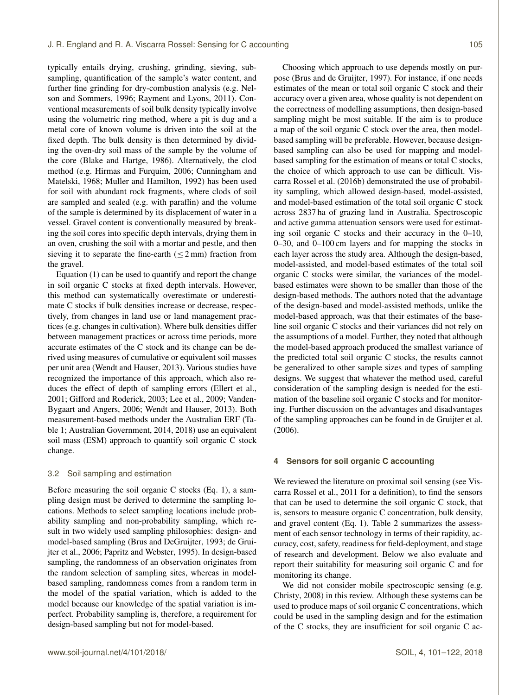typically entails drying, crushing, grinding, sieving, subsampling, quantification of the sample's water content, and further fine grinding for dry-combustion analysis (e.g. [Nel](#page-19-4)[son and Sommers,](#page-19-4) [1996;](#page-19-4) [Rayment and Lyons,](#page-19-7) [2011\)](#page-19-7). Conventional measurements of soil bulk density typically involve using the volumetric ring method, where a pit is dug and a metal core of known volume is driven into the soil at the fixed depth. The bulk density is then determined by dividing the oven-dry soil mass of the sample by the volume of the core [\(Blake and Hartge,](#page-16-2) [1986\)](#page-16-2). Alternatively, the clod method (e.g. [Hirmas and Furquim,](#page-18-14) [2006;](#page-18-14) [Cunningham and](#page-17-7) [Matelski,](#page-17-7) [1968;](#page-17-7) [Muller and Hamilton,](#page-19-8) [1992\)](#page-19-8) has been used for soil with abundant rock fragments, where clods of soil are sampled and sealed (e.g. with paraffin) and the volume of the sample is determined by its displacement of water in a vessel. Gravel content is conventionally measured by breaking the soil cores into specific depth intervals, drying them in an oven, crushing the soil with a mortar and pestle, and then sieving it to separate the fine-earth  $(< 2 \text{ mm})$  fraction from the gravel.

Equation [\(1\)](#page-3-0) can be used to quantify and report the change in soil organic C stocks at fixed depth intervals. However, this method can systematically overestimate or underestimate C stocks if bulk densities increase or decrease, respectively, from changes in land use or land management practices (e.g. changes in cultivation). Where bulk densities differ between management practices or across time periods, more accurate estimates of the C stock and its change can be derived using measures of cumulative or equivalent soil masses per unit area [\(Wendt and Hauser,](#page-21-4) [2013\)](#page-21-4). Various studies have recognized the importance of this approach, which also reduces the effect of depth of sampling errors [\(Ellert et al.,](#page-17-4) [2001;](#page-17-4) [Gifford and Roderick,](#page-17-8) [2003;](#page-17-8) [Lee et al.,](#page-18-15) [2009;](#page-18-15) [Vanden-](#page-21-5)[Bygaart and Angers,](#page-21-5) [2006;](#page-21-5) [Wendt and Hauser,](#page-21-4) [2013\)](#page-21-4). Both measurement-based methods under the Australian ERF (Table 1; [Australian Government,](#page-16-4) [2014,](#page-16-4) [2018\)](#page-16-6) use an equivalent soil mass (ESM) approach to quantify soil organic C stock change.

## 3.2 Soil sampling and estimation

Before measuring the soil organic C stocks (Eq. [1\)](#page-3-0), a sampling design must be derived to determine the sampling locations. Methods to select sampling locations include probability sampling and non-probability sampling, which result in two widely used sampling philosophies: design- and model-based sampling [\(Brus and DeGruijter,](#page-17-9) [1993;](#page-17-9) [de Grui](#page-17-10)[jter et al.,](#page-17-10) [2006;](#page-17-10) [Papritz and Webster,](#page-19-9) [1995\)](#page-19-9). In design-based sampling, the randomness of an observation originates from the random selection of sampling sites, whereas in modelbased sampling, randomness comes from a random term in the model of the spatial variation, which is added to the model because our knowledge of the spatial variation is imperfect. Probability sampling is, therefore, a requirement for design-based sampling but not for model-based.

Choosing which approach to use depends mostly on purpose [\(Brus and de Gruijter,](#page-17-11) [1997\)](#page-17-11). For instance, if one needs estimates of the mean or total soil organic C stock and their accuracy over a given area, whose quality is not dependent on the correctness of modelling assumptions, then design-based sampling might be most suitable. If the aim is to produce a map of the soil organic C stock over the area, then modelbased sampling will be preferable. However, because designbased sampling can also be used for mapping and modelbased sampling for the estimation of means or total C stocks, the choice of which approach to use can be difficult. [Vis](#page-21-3)[carra Rossel et al.](#page-21-3) [\(2016b\)](#page-21-3) demonstrated the use of probability sampling, which allowed design-based, model-assisted, and model-based estimation of the total soil organic C stock across 2837 ha of grazing land in Australia. Spectroscopic and active gamma attenuation sensors were used for estimating soil organic C stocks and their accuracy in the 0–10, 0–30, and 0–100 cm layers and for mapping the stocks in each layer across the study area. Although the design-based, model-assisted, and model-based estimates of the total soil organic C stocks were similar, the variances of the modelbased estimates were shown to be smaller than those of the design-based methods. The authors noted that the advantage of the design-based and model-assisted methods, unlike the model-based approach, was that their estimates of the baseline soil organic C stocks and their variances did not rely on the assumptions of a model. Further, they noted that although the model-based approach produced the smallest variance of the predicted total soil organic C stocks, the results cannot be generalized to other sample sizes and types of sampling designs. We suggest that whatever the method used, careful consideration of the sampling design is needed for the estimation of the baseline soil organic C stocks and for monitoring. Further discussion on the advantages and disadvantages of the sampling approaches can be found in [de Gruijter et al.](#page-17-10) [\(2006\)](#page-17-10).

## **4 Sensors for soil organic C accounting**

We reviewed the literature on proximal soil sensing (see [Vis](#page-21-1)[carra Rossel et al.,](#page-21-1) [2011](#page-21-1) for a definition), to find the sensors that can be used to determine the soil organic C stock, that is, sensors to measure organic C concentration, bulk density, and gravel content (Eq. [1\)](#page-3-0). Table [2](#page-6-0) summarizes the assessment of each sensor technology in terms of their rapidity, accuracy, cost, safety, readiness for field-deployment, and stage of research and development. Below we also evaluate and report their suitability for measuring soil organic C and for monitoring its change.

We did not consider mobile spectroscopic sensing (e.g. [Christy,](#page-17-12) [2008\)](#page-17-12) in this review. Although these systems can be used to produce maps of soil organic C concentrations, which could be used in the sampling design and for the estimation of the C stocks, they are insufficient for soil organic C ac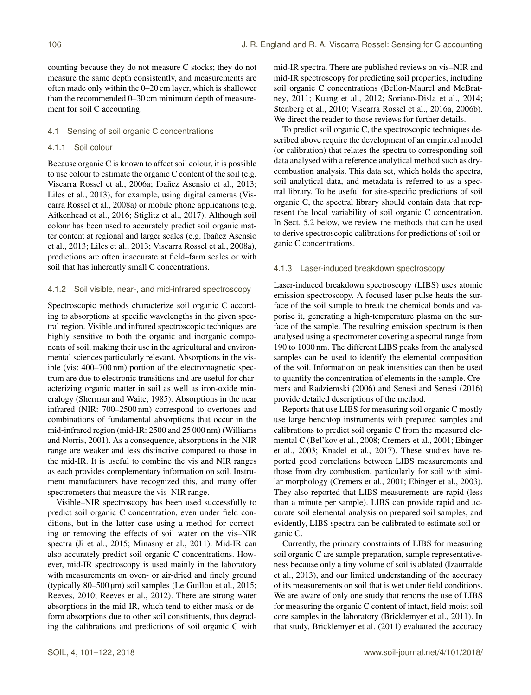counting because they do not measure C stocks; they do not measure the same depth consistently, and measurements are often made only within the 0–20 cm layer, which is shallower than the recommended 0–30 cm minimum depth of measurement for soil C accounting.

# 4.1 Sensing of soil organic C concentrations

# 4.1.1 Soil colour

Because organic C is known to affect soil colour, it is possible to use colour to estimate the organic C content of the soil (e.g. [Viscarra Rossel et al.,](#page-21-6) [2006a;](#page-21-6) [Ibañez Asensio et al.,](#page-18-16) [2013;](#page-18-16) [Liles et al.,](#page-18-17) [2013\)](#page-18-17), for example, using digital cameras [\(Vis](#page-21-7)[carra Rossel et al.,](#page-21-7) [2008a\)](#page-21-7) or mobile phone applications (e.g. [Aitkenhead et al.,](#page-16-8) [2016;](#page-16-8) [Stiglitz et al.,](#page-20-7) [2017\)](#page-20-7). Although soil colour has been used to accurately predict soil organic matter content at regional and larger scales (e.g. [Ibañez Asensio](#page-18-16) [et al.,](#page-18-16) [2013;](#page-18-16) [Liles et al.,](#page-18-17) [2013;](#page-18-17) [Viscarra Rossel et al.,](#page-21-7) [2008a\)](#page-21-7), predictions are often inaccurate at field–farm scales or with soil that has inherently small C concentrations.

# 4.1.2 Soil visible, near-, and mid-infrared spectroscopy

Spectroscopic methods characterize soil organic C according to absorptions at specific wavelengths in the given spectral region. Visible and infrared spectroscopic techniques are highly sensitive to both the organic and inorganic components of soil, making their use in the agricultural and environmental sciences particularly relevant. Absorptions in the visible (vis: 400–700 nm) portion of the electromagnetic spectrum are due to electronic transitions and are useful for characterizing organic matter in soil as well as iron-oxide mineralogy [\(Sherman and Waite,](#page-20-8) [1985\)](#page-20-8). Absorptions in the near infrared (NIR: 700–2500 nm) correspond to overtones and combinations of fundamental absorptions that occur in the mid-infrared region (mid-IR: 2500 and 25 000 nm) [\(Williams](#page-21-8) [and Norris,](#page-21-8) [2001\)](#page-21-8). As a consequence, absorptions in the NIR range are weaker and less distinctive compared to those in the mid-IR. It is useful to combine the vis and NIR ranges as each provides complementary information on soil. Instrument manufacturers have recognized this, and many offer spectrometers that measure the vis–NIR range.

Visible–NIR spectroscopy has been used successfully to predict soil organic C concentration, even under field conditions, but in the latter case using a method for correcting or removing the effects of soil water on the vis–NIR spectra [\(Ji et al.,](#page-18-18) [2015;](#page-18-18) [Minasny et al.,](#page-19-10) [2011\)](#page-19-10). Mid-IR can also accurately predict soil organic C concentrations. However, mid-IR spectroscopy is used mainly in the laboratory with measurements on oven- or air-dried and finely ground (typically  $80-500 \,\text{\mu m}$ ) soil samples [\(Le Guillou et al.,](#page-18-19) [2015;](#page-18-19) [Reeves,](#page-19-11) [2010;](#page-19-11) [Reeves et al.,](#page-19-6) [2012\)](#page-19-6). There are strong water absorptions in the mid-IR, which tend to either mask or deform absorptions due to other soil constituents, thus degrading the calibrations and predictions of soil organic C with mid-IR spectra. There are published reviews on vis–NIR and mid-IR spectroscopy for predicting soil properties, including soil organic C concentrations [\(Bellon-Maurel and McBrat](#page-16-3)[ney,](#page-16-3) [2011;](#page-16-3) [Kuang et al.,](#page-18-20) [2012;](#page-18-20) [Soriano-Disla et al.,](#page-20-9) [2014;](#page-20-9) [Stenberg et al.,](#page-20-5) [2010;](#page-20-5) [Viscarra Rossel et al.,](#page-21-9) [2016a,](#page-21-9) [2006b\)](#page-21-10). We direct the reader to those reviews for further details.

To predict soil organic C, the spectroscopic techniques described above require the development of an empirical model (or calibration) that relates the spectra to corresponding soil data analysed with a reference analytical method such as drycombustion analysis. This data set, which holds the spectra, soil analytical data, and metadata is referred to as a spectral library. To be useful for site-specific predictions of soil organic C, the spectral library should contain data that represent the local variability of soil organic C concentration. In Sect. 5.2 below, we review the methods that can be used to derive spectroscopic calibrations for predictions of soil organic C concentrations.

# 4.1.3 Laser-induced breakdown spectroscopy

Laser-induced breakdown spectroscopy (LIBS) uses atomic emission spectroscopy. A focused laser pulse heats the surface of the soil sample to break the chemical bonds and vaporise it, generating a high-temperature plasma on the surface of the sample. The resulting emission spectrum is then analysed using a spectrometer covering a spectral range from 190 to 1000 nm. The different LIBS peaks from the analysed samples can be used to identify the elemental composition of the soil. Information on peak intensities can then be used to quantify the concentration of elements in the sample. [Cre](#page-17-13)[mers and Radziemski](#page-17-13) [\(2006\)](#page-17-13) and [Senesi and Senesi](#page-20-10) [\(2016\)](#page-20-10) provide detailed descriptions of the method.

Reports that use LIBS for measuring soil organic C mostly use large benchtop instruments with prepared samples and calibrations to predict soil organic C from the measured elemental C [\(Bel'kov et al.,](#page-16-9) [2008;](#page-16-9) [Cremers et al.,](#page-17-14) [2001;](#page-17-14) [Ebinger](#page-17-15) [et al.,](#page-17-15) [2003;](#page-17-15) [Knadel et al.,](#page-18-21) [2017\)](#page-18-21). These studies have reported good correlations between LIBS measurements and those from dry combustion, particularly for soil with similar morphology [\(Cremers et al.,](#page-17-14) [2001;](#page-17-14) [Ebinger et al.,](#page-17-15) [2003\)](#page-17-15). They also reported that LIBS measurements are rapid (less than a minute per sample). LIBS can provide rapid and accurate soil elemental analysis on prepared soil samples, and evidently, LIBS spectra can be calibrated to estimate soil organic C.

Currently, the primary constraints of LIBS for measuring soil organic C are sample preparation, sample representativeness because only a tiny volume of soil is ablated [\(Izaurralde](#page-18-7) [et al.,](#page-18-7) [2013\)](#page-18-7), and our limited understanding of the accuracy of its measurements on soil that is wet under field conditions. We are aware of only one study that reports the use of LIBS for measuring the organic C content of intact, field-moist soil core samples in the laboratory [\(Bricklemyer et al.,](#page-16-10) [2011\)](#page-16-10). In that study, [Bricklemyer et al.](#page-16-10) [\(2011\)](#page-16-10) evaluated the accuracy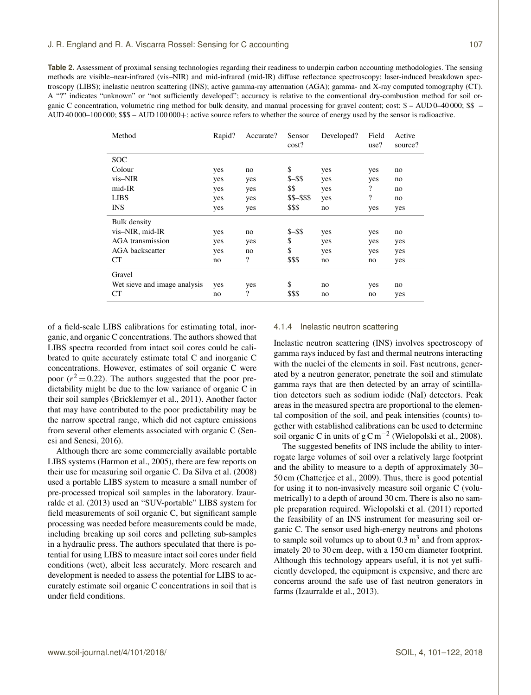<span id="page-6-0"></span>**Table 2.** Assessment of proximal sensing technologies regarding their readiness to underpin carbon accounting methodologies. The sensing methods are visible–near-infrared (vis–NIR) and mid-infrared (mid-IR) diffuse reflectance spectroscopy; laser-induced breakdown spectroscopy (LIBS); inelastic neutron scattering (INS); active gamma-ray attenuation (AGA); gamma- and X-ray computed tomography (CT). A "?" indicates "unknown" or "not sufficiently developed"; accuracy is relative to the conventional dry-combustion method for soil organic C concentration, volumetric ring method for bulk density, and manual processing for gravel content; cost: \$ – AUD 0–40 000; \$\$ – AUD 40 000–100 000; \$\$\$ – AUD 100 000+; active source refers to whether the source of energy used by the sensor is radioactive.

| Method                       | Rapid? | Accurate?          | Sensor<br>cost? | Developed? | Field<br>use? | Active<br>source? |
|------------------------------|--------|--------------------|-----------------|------------|---------------|-------------------|
| <b>SOC</b>                   |        |                    |                 |            |               |                   |
| Colour                       | yes    | no                 | \$              | yes        | yes           | no                |
| vis-NIR                      | yes    | yes                | $S - S S$       | yes        | yes           | no                |
| mid-IR                       | yes    | yes                | \$\$            | yes        | ?             | no                |
| <b>LIBS</b>                  | yes    | yes                | \$\$-\$\$\$     | yes        | ?             | no                |
| <b>INS</b>                   | yes    | yes                | \$\$\$          | no         | yes           | yes               |
| <b>Bulk</b> density          |        |                    |                 |            |               |                   |
| vis-NIR, mid-IR              | yes    | no                 | $$ - $$         | yes        | yes           | no                |
| <b>AGA</b> transmission      | yes    | yes                | \$              | yes        | yes           | yes               |
| AGA backscatter              | yes    | no                 | \$              | yes        | yes           | yes               |
| CT                           | no     | $\overline{\cdot}$ | \$\$\$          | no         | no            | yes               |
| Gravel                       |        |                    |                 |            |               |                   |
| Wet sieve and image analysis | yes    | yes                | \$              | no         | yes           | no                |
| CT                           | no     | $\overline{\cdot}$ | \$\$\$          | no         | no            | yes               |

of a field-scale LIBS calibrations for estimating total, inorganic, and organic C concentrations. The authors showed that LIBS spectra recorded from intact soil cores could be calibrated to quite accurately estimate total C and inorganic C concentrations. However, estimates of soil organic C were poor  $(r^2 = 0.22)$ . The authors suggested that the poor predictability might be due to the low variance of organic C in their soil samples [\(Bricklemyer et al.,](#page-16-10) [2011\)](#page-16-10). Another factor that may have contributed to the poor predictability may be the narrow spectral range, which did not capture emissions from several other elements associated with organic C [\(Sen](#page-20-10)[esi and Senesi,](#page-20-10) [2016\)](#page-20-10).

Although there are some commercially available portable LIBS systems [\(Harmon et al.,](#page-18-22) [2005\)](#page-18-22), there are few reports on their use for measuring soil organic C. [Da Silva et al.](#page-17-16) [\(2008\)](#page-17-16) used a portable LIBS system to measure a small number of pre-processed tropical soil samples in the laboratory. [Izaur](#page-18-7)[ralde et al.](#page-18-7) [\(2013\)](#page-18-7) used an "SUV-portable" LIBS system for field measurements of soil organic C, but significant sample processing was needed before measurements could be made, including breaking up soil cores and pelleting sub-samples in a hydraulic press. The authors speculated that there is potential for using LIBS to measure intact soil cores under field conditions (wet), albeit less accurately. More research and development is needed to assess the potential for LIBS to accurately estimate soil organic C concentrations in soil that is under field conditions.

## 4.1.4 Inelastic neutron scattering

Inelastic neutron scattering (INS) involves spectroscopy of gamma rays induced by fast and thermal neutrons interacting with the nuclei of the elements in soil. Fast neutrons, generated by a neutron generator, penetrate the soil and stimulate gamma rays that are then detected by an array of scintillation detectors such as sodium iodide (NaI) detectors. Peak areas in the measured spectra are proportional to the elemental composition of the soil, and peak intensities (counts) together with established calibrations can be used to determine soil organic C in units of  $g\,\text{C m}^{-2}$  [\(Wielopolski et al.,](#page-21-11) [2008\)](#page-21-11).

The suggested benefits of INS include the ability to interrogate large volumes of soil over a relatively large footprint and the ability to measure to a depth of approximately 30– 50 cm [\(Chatterjee et al.,](#page-17-17) [2009\)](#page-17-17). Thus, there is good potential for using it to non-invasively measure soil organic C (volumetrically) to a depth of around 30 cm. There is also no sample preparation required. [Wielopolski et al.](#page-21-12) [\(2011\)](#page-21-12) reported the feasibility of an INS instrument for measuring soil organic C. The sensor used high-energy neutrons and photons to sample soil volumes up to about  $0.3 \text{ m}^3$  and from approximately 20 to 30 cm deep, with a 150 cm diameter footprint. Although this technology appears useful, it is not yet sufficiently developed, the equipment is expensive, and there are concerns around the safe use of fast neutron generators in farms [\(Izaurralde et al.,](#page-18-7) [2013\)](#page-18-7).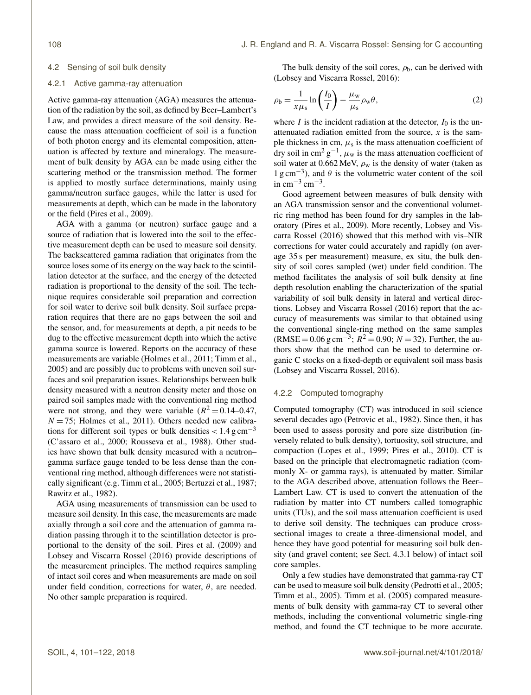#### 4.2 Sensing of soil bulk density

#### 4.2.1 Active gamma-ray attenuation

Active gamma-ray attenuation (AGA) measures the attenuation of the radiation by the soil, as defined by Beer–Lambert's Law, and provides a direct measure of the soil density. Because the mass attenuation coefficient of soil is a function of both photon energy and its elemental composition, attenuation is affected by texture and mineralogy. The measurement of bulk density by AGA can be made using either the scattering method or the transmission method. The former is applied to mostly surface determinations, mainly using gamma/neutron surface gauges, while the latter is used for measurements at depth, which can be made in the laboratory or the field [\(Pires et al.,](#page-19-12) [2009\)](#page-19-12).

AGA with a gamma (or neutron) surface gauge and a source of radiation that is lowered into the soil to the effective measurement depth can be used to measure soil density. The backscattered gamma radiation that originates from the source loses some of its energy on the way back to the scintillation detector at the surface, and the energy of the detected radiation is proportional to the density of the soil. The technique requires considerable soil preparation and correction for soil water to derive soil bulk density. Soil surface preparation requires that there are no gaps between the soil and the sensor, and, for measurements at depth, a pit needs to be dug to the effective measurement depth into which the active gamma source is lowered. Reports on the accuracy of these measurements are variable [\(Holmes et al.,](#page-18-23) [2011;](#page-18-23) [Timm et al.,](#page-20-11) [2005\)](#page-20-11) and are possibly due to problems with uneven soil surfaces and soil preparation issues. Relationships between bulk density measured with a neutron density meter and those on paired soil samples made with the conventional ring method were not strong, and they were variable  $(R^2 = 0.14 - 0.47)$ ,  $N = 75$ ; [Holmes et al.,](#page-18-23) [2011\)](#page-18-23). Others needed new calibrations for different soil types or bulk densities  $< 1.4 \text{ g cm}^{-3}$ [\(C'assaro et al.,](#page-17-18) [2000;](#page-17-18) [Rousseva et al.,](#page-20-12) [1988\)](#page-20-12). Other studies have shown that bulk density measured with a neutron– gamma surface gauge tended to be less dense than the conventional ring method, although differences were not statistically significant (e.g. [Timm et al.,](#page-20-11) [2005;](#page-20-11) [Bertuzzi et al.,](#page-16-11) [1987;](#page-16-11) [Rawitz et al.,](#page-19-13) [1982\)](#page-19-13).

AGA using measurements of transmission can be used to measure soil density. In this case, the measurements are made axially through a soil core and the attenuation of gamma radiation passing through it to the scintillation detector is proportional to the density of the soil. [Pires et al.](#page-19-12) [\(2009\)](#page-19-12) and [Lobsey and Viscarra Rossel](#page-18-8) [\(2016\)](#page-18-8) provide descriptions of the measurement principles. The method requires sampling of intact soil cores and when measurements are made on soil under field condition, corrections for water,  $\theta$ , are needed. No other sample preparation is required.

<span id="page-7-0"></span>The bulk density of the soil cores,  $\rho_b$ , can be derived with [\(Lobsey and Viscarra Rossel,](#page-18-8) [2016\)](#page-18-8):

$$
\rho_{\rm b} = \frac{1}{x\mu_{\rm s}} \ln\left(\frac{I_0}{I}\right) - \frac{\mu_{\rm w}}{\mu_{\rm s}} \rho_{\rm w} \theta,\tag{2}
$$

where I is the incident radiation at the detector,  $I_0$  is the unattenuated radiation emitted from the source,  $x$  is the sample thickness in cm,  $\mu_s$  is the mass attenuation coefficient of dry soil in cm<sup>2</sup>  $g^{-1}$ ,  $\mu_w$  is the mass attenuation coefficient of soil water at 0.662 MeV,  $\rho_w$  is the density of water (taken as  $1 \text{ g cm}^{-3}$ ), and  $\theta$  is the volumetric water content of the soil in cm<sup>-3</sup> cm<sup>-3</sup>.

Good agreement between measures of bulk density with an AGA transmission sensor and the conventional volumetric ring method has been found for dry samples in the laboratory [\(Pires et al.,](#page-19-12) [2009\)](#page-19-12). More recently, [Lobsey and Vis](#page-18-8)[carra Rossel](#page-18-8) [\(2016\)](#page-18-8) showed that this method with vis–NIR corrections for water could accurately and rapidly (on average 35 s per measurement) measure, ex situ, the bulk density of soil cores sampled (wet) under field condition. The method facilitates the analysis of soil bulk density at fine depth resolution enabling the characterization of the spatial variability of soil bulk density in lateral and vertical directions. [Lobsey and Viscarra Rossel](#page-18-8) [\(2016\)](#page-18-8) report that the accuracy of measurements was similar to that obtained using the conventional single-ring method on the same samples  $(RMSE = 0.06 \text{ g cm}^{-3}; R^2 = 0.90; N = 32)$ . Further, the authors show that the method can be used to determine organic C stocks on a fixed-depth or equivalent soil mass basis [\(Lobsey and Viscarra Rossel,](#page-18-8) [2016\)](#page-18-8).

# 4.2.2 Computed tomography

Computed tomography (CT) was introduced in soil science several decades ago [\(Petrovic et al.,](#page-19-14) [1982\)](#page-19-14). Since then, it has been used to assess porosity and pore size distribution (inversely related to bulk density), tortuosity, soil structure, and compaction [\(Lopes et al.,](#page-18-24) [1999;](#page-18-24) [Pires et al.,](#page-19-15) [2010\)](#page-19-15). CT is based on the principle that electromagnetic radiation (commonly X- or gamma rays), is attenuated by matter. Similar to the AGA described above, attenuation follows the Beer– Lambert Law. CT is used to convert the attenuation of the radiation by matter into CT numbers called tomographic units (TUs), and the soil mass attenuation coefficient is used to derive soil density. The techniques can produce crosssectional images to create a three-dimensional model, and hence they have good potential for measuring soil bulk density (and gravel content; see Sect. 4.3.1 below) of intact soil core samples.

Only a few studies have demonstrated that gamma-ray CT can be used to measure soil bulk density [\(Pedrotti et al.,](#page-19-16) [2005;](#page-19-16) [Timm et al.,](#page-20-11) [2005\)](#page-20-11). [Timm et al.](#page-20-11) [\(2005\)](#page-20-11) compared measurements of bulk density with gamma-ray CT to several other methods, including the conventional volumetric single-ring method, and found the CT technique to be more accurate.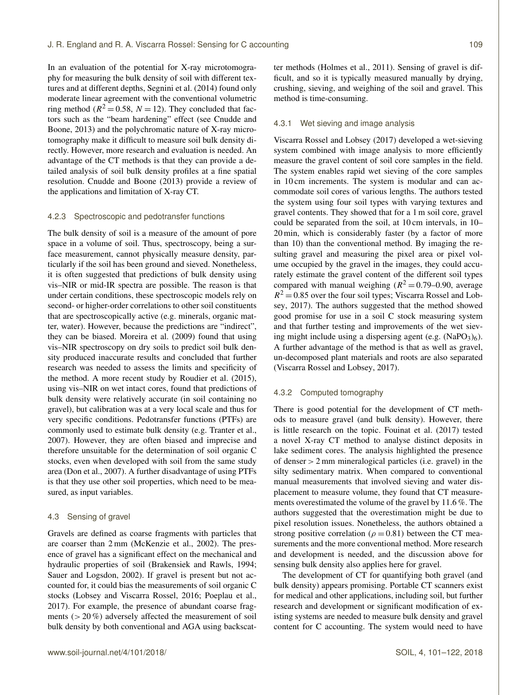In an evaluation of the potential for X-ray microtomography for measuring the bulk density of soil with different textures and at different depths, [Segnini et al.](#page-20-13) [\(2014\)](#page-20-13) found only moderate linear agreement with the conventional volumetric ring method ( $R^2 = 0.58$ ,  $N = 12$ ). They concluded that factors such as the "beam hardening" effect (see [Cnudde and](#page-17-19) [Boone,](#page-17-19) [2013\)](#page-17-19) and the polychromatic nature of X-ray microtomography make it difficult to measure soil bulk density directly. However, more research and evaluation is needed. An advantage of the CT methods is that they can provide a detailed analysis of soil bulk density profiles at a fine spatial resolution. [Cnudde and Boone](#page-17-19) [\(2013\)](#page-17-19) provide a review of the applications and limitation of X-ray CT.

#### 4.2.3 Spectroscopic and pedotransfer functions

The bulk density of soil is a measure of the amount of pore space in a volume of soil. Thus, spectroscopy, being a surface measurement, cannot physically measure density, particularly if the soil has been ground and sieved. Nonetheless, it is often suggested that predictions of bulk density using vis–NIR or mid-IR spectra are possible. The reason is that under certain conditions, these spectroscopic models rely on second- or higher-order correlations to other soil constituents that are spectroscopically active (e.g. minerals, organic matter, water). However, because the predictions are "indirect", they can be biased. [Moreira et al.](#page-19-17) [\(2009\)](#page-19-17) found that using vis–NIR spectroscopy on dry soils to predict soil bulk density produced inaccurate results and concluded that further research was needed to assess the limits and specificity of the method. A more recent study by [Roudier et al.](#page-19-18) [\(2015\)](#page-19-18), using vis–NIR on wet intact cores, found that predictions of bulk density were relatively accurate (in soil containing no gravel), but calibration was at a very local scale and thus for very specific conditions. Pedotransfer functions (PTFs) are commonly used to estimate bulk density (e.g. [Tranter et al.,](#page-20-14) [2007\)](#page-20-14). However, they are often biased and imprecise and therefore unsuitable for the determination of soil organic C stocks, even when developed with soil from the same study area [\(Don et al.,](#page-17-20) [2007\)](#page-17-20). A further disadvantage of using PTFs is that they use other soil properties, which need to be measured, as input variables.

#### 4.3 Sensing of gravel

Gravels are defined as coarse fragments with particles that are coarser than 2 mm [\(McKenzie et al.,](#page-19-5) [2002\)](#page-19-5). The presence of gravel has a significant effect on the mechanical and hydraulic properties of soil [\(Brakensiek and Rawls,](#page-16-12) [1994;](#page-16-12) [Sauer and Logsdon,](#page-20-15) [2002\)](#page-20-15). If gravel is present but not accounted for, it could bias the measurements of soil organic C stocks [\(Lobsey and Viscarra Rossel,](#page-18-8) [2016;](#page-18-8) [Poeplau et al.,](#page-19-19) [2017\)](#page-19-19). For example, the presence of abundant coarse fragments ( $> 20\%$ ) adversely affected the measurement of soil bulk density by both conventional and AGA using backscatter methods [\(Holmes et al.,](#page-18-23) [2011\)](#page-18-23). Sensing of gravel is difficult, and so it is typically measured manually by drying, crushing, sieving, and weighing of the soil and gravel. This method is time-consuming.

## 4.3.1 Wet sieving and image analysis

[Viscarra Rossel and Lobsey](#page-21-13) [\(2017\)](#page-21-13) developed a wet-sieving system combined with image analysis to more efficiently measure the gravel content of soil core samples in the field. The system enables rapid wet sieving of the core samples in 10 cm increments. The system is modular and can accommodate soil cores of various lengths. The authors tested the system using four soil types with varying textures and gravel contents. They showed that for a 1 m soil core, gravel could be separated from the soil, at 10 cm intervals, in 10– 20 min, which is considerably faster (by a factor of more than 10) than the conventional method. By imaging the resulting gravel and measuring the pixel area or pixel volume occupied by the gravel in the images, they could accurately estimate the gravel content of the different soil types compared with manual weighing  $(R^2 = 0.79 - 0.90)$ , average  $R^2 = 0.85$  over the four soil types; [Viscarra Rossel and Lob](#page-21-13)[sey,](#page-21-13) [2017\)](#page-21-13). The authors suggested that the method showed good promise for use in a soil C stock measuring system and that further testing and improvements of the wet sieving might include using a dispersing agent (e.g.  $(NaPO<sub>3</sub>)<sub>6</sub>$ ). A further advantage of the method is that as well as gravel, un-decomposed plant materials and roots are also separated [\(Viscarra Rossel and Lobsey,](#page-21-13) [2017\)](#page-21-13).

#### 4.3.2 Computed tomography

There is good potential for the development of CT methods to measure gravel (and bulk density). However, there is little research on the topic. [Fouinat et al.](#page-17-2) [\(2017\)](#page-17-2) tested a novel X-ray CT method to analyse distinct deposits in lake sediment cores. The analysis highlighted the presence of denser > 2 mm mineralogical particles (i.e. gravel) in the silty sedimentary matrix. When compared to conventional manual measurements that involved sieving and water displacement to measure volume, they found that CT measurements overestimated the volume of the gravel by 11.6 %. The authors suggested that the overestimation might be due to pixel resolution issues. Nonetheless, the authors obtained a strong positive correlation ( $\rho = 0.81$ ) between the CT measurements and the more conventional method. More research and development is needed, and the discussion above for sensing bulk density also applies here for gravel.

The development of CT for quantifying both gravel (and bulk density) appears promising. Portable CT scanners exist for medical and other applications, including soil, but further research and development or significant modification of existing systems are needed to measure bulk density and gravel content for C accounting. The system would need to have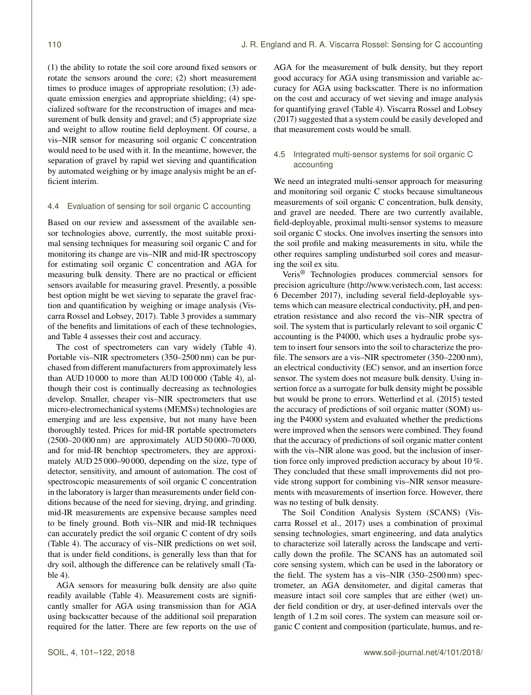(1) the ability to rotate the soil core around fixed sensors or rotate the sensors around the core; (2) short measurement times to produce images of appropriate resolution; (3) adequate emission energies and appropriate shielding; (4) specialized software for the reconstruction of images and measurement of bulk density and gravel; and  $(5)$  appropriate size and weight to allow routine field deployment. Of course, a vis–NIR sensor for measuring soil organic C concentration would need to be used with it. In the meantime, however, the separation of gravel by rapid wet sieving and quantification by automated weighing or by image analysis might be an efficient interim.

# 4.4 Evaluation of sensing for soil organic C accounting

Based on our review and assessment of the available sensor technologies above, currently, the most suitable proximal sensing techniques for measuring soil organic C and for monitoring its change are vis–NIR and mid-IR spectroscopy for estimating soil organic C concentration and AGA for measuring bulk density. There are no practical or efficient sensors available for measuring gravel. Presently, a possible best option might be wet sieving to separate the gravel fraction and quantification by weighing or image analysis [\(Vis](#page-21-13)[carra Rossel and Lobsey,](#page-21-13) [2017\)](#page-21-13). Table [3](#page-10-0) provides a summary of the benefits and limitations of each of these technologies, and Table [4](#page-11-0) assesses their cost and accuracy.

The cost of spectrometers can vary widely (Table [4\)](#page-11-0). Portable vis–NIR spectrometers (350–2500 nm) can be purchased from different manufacturers from approximately less than AUD 10 000 to more than AUD 100 000 (Table [4\)](#page-11-0), although their cost is continually decreasing as technologies develop. Smaller, cheaper vis–NIR spectrometers that use micro-electromechanical systems (MEMSs) technologies are emerging and are less expensive, but not many have been thoroughly tested. Prices for mid-IR portable spectrometers (2500–20 000 nm) are approximately AUD 50 000–70 000, and for mid-IR benchtop spectrometers, they are approximately AUD 25 000–90 000, depending on the size, type of detector, sensitivity, and amount of automation. The cost of spectroscopic measurements of soil organic C concentration in the laboratory is larger than measurements under field conditions because of the need for sieving, drying, and grinding. mid-IR measurements are expensive because samples need to be finely ground. Both vis–NIR and mid-IR techniques can accurately predict the soil organic C content of dry soils (Table [4\)](#page-11-0). The accuracy of vis–NIR predictions on wet soil, that is under field conditions, is generally less than that for dry soil, although the difference can be relatively small (Table [4\)](#page-11-0).

AGA sensors for measuring bulk density are also quite readily available (Table [4\)](#page-11-0). Measurement costs are significantly smaller for AGA using transmission than for AGA using backscatter because of the additional soil preparation required for the latter. There are few reports on the use of

AGA for the measurement of bulk density, but they report good accuracy for AGA using transmission and variable accuracy for AGA using backscatter. There is no information on the cost and accuracy of wet sieving and image analysis for quantifying gravel (Table [4\)](#page-11-0). [Viscarra Rossel and Lobsey](#page-21-13) [\(2017\)](#page-21-13) suggested that a system could be easily developed and that measurement costs would be small.

# 4.5 Integrated multi-sensor systems for soil organic C accounting

We need an integrated multi-sensor approach for measuring and monitoring soil organic C stocks because simultaneous measurements of soil organic C concentration, bulk density, and gravel are needed. There are two currently available, field-deployable, proximal multi-sensor systems to measure soil organic C stocks. One involves inserting the sensors into the soil profile and making measurements in situ, while the other requires sampling undisturbed soil cores and measuring the soil ex situ.

Veris® Technologies produces commercial sensors for precision agriculture [\(http://www.veristech.com,](http://www.veristech.com) last access: 6 December 2017), including several field-deployable systems which can measure electrical conductivity, pH, and penetration resistance and also record the vis–NIR spectra of soil. The system that is particularly relevant to soil organic C accounting is the P4000, which uses a hydraulic probe system to insert four sensors into the soil to characterize the profile. The sensors are a vis–NIR spectrometer (350–2200 nm), an electrical conductivity (EC) sensor, and an insertion force sensor. The system does not measure bulk density. Using insertion force as a surrogate for bulk density might be possible but would be prone to errors. [Wetterlind et al.](#page-21-14) [\(2015\)](#page-21-14) tested the accuracy of predictions of soil organic matter (SOM) using the P4000 system and evaluated whether the predictions were improved when the sensors were combined. They found that the accuracy of predictions of soil organic matter content with the vis–NIR alone was good, but the inclusion of insertion force only improved prediction accuracy by about 10 %. They concluded that these small improvements did not provide strong support for combining vis–NIR sensor measurements with measurements of insertion force. However, there was no testing of bulk density.

The Soil Condition Analysis System (SCANS) [\(Vis](#page-21-15)[carra Rossel et al.,](#page-21-15) [2017\)](#page-21-15) uses a combination of proximal sensing technologies, smart engineering, and data analytics to characterize soil laterally across the landscape and vertically down the profile. The SCANS has an automated soil core sensing system, which can be used in the laboratory or the field. The system has a vis–NIR (350–2500 nm) spectrometer, an AGA densitometer, and digital cameras that measure intact soil core samples that are either (wet) under field condition or dry, at user-defined intervals over the length of 1.2 m soil cores. The system can measure soil organic C content and composition (particulate, humus, and re-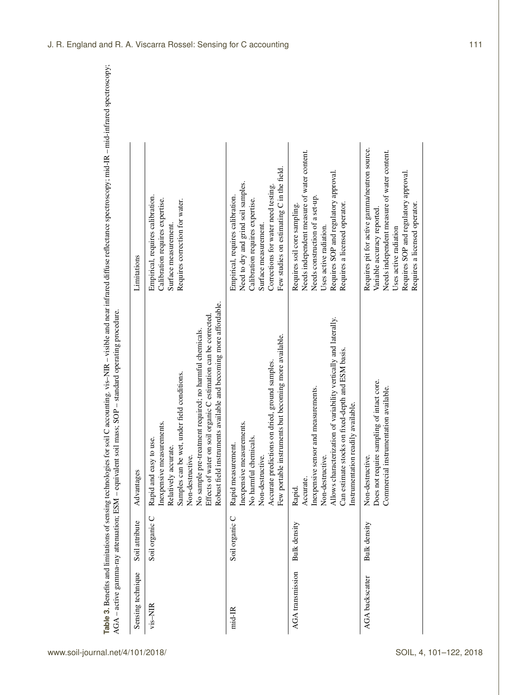| AGA - active gamma-ray attenuation; ESM - equivalent |                     | Table 3. Benefits and limitations of sensing technologies for soil C accounting. vis-NIR - visible and near infrared diffuse reflectance spectroscopy; mid-IR - mid-infrared spectroscopy;<br>soil mass; SOP - standard operating procedure.                                                                                                             |                                                                                                                                                                                                                              |
|------------------------------------------------------|---------------------|----------------------------------------------------------------------------------------------------------------------------------------------------------------------------------------------------------------------------------------------------------------------------------------------------------------------------------------------------------|------------------------------------------------------------------------------------------------------------------------------------------------------------------------------------------------------------------------------|
| Sensing technique                                    | Soil attribute      | Advantages                                                                                                                                                                                                                                                                                                                                               | Limitations                                                                                                                                                                                                                  |
| vis-NIR                                              | Soil organic C      | Robust field instruments available and becoming more affordable.<br>on soil organic C estimation can be corrected<br>No sample pre-treatment required; no harmful chemicals.<br>wet, under field conditions.<br>Inexpensive measurements.<br>to use.<br>Relatively accurate.<br>Non-destructive.<br>Samples can be<br>Effects of water<br>Rapid and easy | Empirical, requires calibration.<br>Calibration requires expertise.<br>Requires correction for water.<br>Surface measurement                                                                                                 |
| mid-IR                                               | Soil organic C      | Few portable instruments but becoming more available.<br>Accurate predictions on dried, ground samples.<br>Inexpensive measurements.<br>No harmful chemicals.<br>Rapid measurement.<br>Non-destructive.                                                                                                                                                  | Few studies on estimating $C$ in the field.<br>Need to dry and grind soil samples.<br>Corrections for water need testing.<br>Empirical, requires calibration.<br>Calibration requires expertise.<br>Surface measurement.     |
| <b>AGA</b> transmission                              | <b>Bulk</b> density | Allows characterization of variability vertically and laterally.<br>Can estimate stocks on fixed-depth and ESM basis<br>Inexpensive sensor and measurements.<br>readily available.<br>Non-destructive.<br>Instrumentation<br>Accurate.<br>Rapid.                                                                                                         | Needs independent measure of water content.<br>Requires SOP and regulatory approval.<br>Needs construction of a set-up.<br>Requires a licensed operator<br>Requires soil core sampling<br>Uses active radiation.             |
| <b>AGA</b> backscatter                               | <b>Bulk</b> density | Does not require sampling of intact core.<br>Commercial instrumentation available.<br>Non-destructive.                                                                                                                                                                                                                                                   | Requires pit for active gamma/neutron source.<br>Needs independent measure of water content.<br>Requires SOP and regulatory approval.<br>Requires a licensed operator<br>Variable accuracy reported<br>Uses active radiation |

<span id="page-10-0"></span>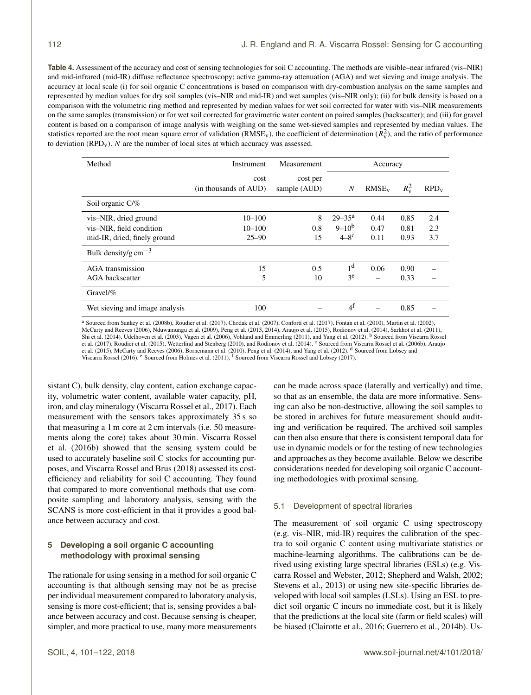<span id="page-11-0"></span>**Table 4.** Assessment of the accuracy and cost of sensing technologies for soil C accounting. The methods are visible–near infrared (vis–NIR) and mid-infrared (mid-IR) diffuse reflectance spectroscopy; active gamma-ray attenuation (AGA) and wet sieving and image analysis. The accuracy at local scale (i) for soil organic C concentrations is based on comparison with dry-combustion analysis on the same samples and represented by median values for dry soil samples (vis–NIR and mid-IR) and wet samples (vis–NIR only); (ii) for bulk density is based on a comparison with the volumetric ring method and represented by median values for wet soil corrected for water with vis–NIR measurements on the same samples (transmission) or for wet soil corrected for gravimetric water content on paired samples (backscatter); and (iii) for gravel content is based on a comparison of image analysis with weighing on the same wet-sieved samples and represented by median values. The statistics reported are the root mean square error of validation (RMSE<sub>v</sub>), the coefficient of determination ( $R_v^2$ ), and the ratio of performance to deviation  $(RPD_v)$ . N are the number of local sites at which accuracy was assessed.

| Method                                                                            | Measurement<br><b>Instrument</b>      |                          | Accuracy                                                |                      |                      |                   |
|-----------------------------------------------------------------------------------|---------------------------------------|--------------------------|---------------------------------------------------------|----------------------|----------------------|-------------------|
|                                                                                   | cost<br>(in thousands of AUD)         | cost per<br>sample (AUD) | $\overline{N}$                                          | RMSE <sub>v</sub>    | $R_{\rm v}^2$        | $RPD_v$           |
| Soil organic C/%                                                                  |                                       |                          |                                                         |                      |                      |                   |
| vis-NIR, dried ground<br>vis-NIR, field condition<br>mid-IR, dried, finely ground | $10 - 100$<br>$10 - 100$<br>$25 - 90$ | 8<br>0.8<br>15           | $29 - 35^{\rm a}$<br>$9 - 10^{b}$<br>$4-8$ <sup>c</sup> | 0.44<br>0.47<br>0.11 | 0.85<br>0.81<br>0.93 | 2.4<br>2.3<br>3.7 |
| Bulk density/g cm <sup><math>-3</math></sup>                                      |                                       |                          |                                                         |                      |                      |                   |
| <b>AGA</b> transmission<br>AGA backscatter                                        | 15<br>5                               | 0.5<br>10                | 1 <sup>d</sup><br>ze                                    | 0.06                 | 0.90<br>0.33         |                   |
| Gravel/%                                                                          |                                       |                          |                                                         |                      |                      |                   |
| Wet sieving and image analysis                                                    | 100                                   |                          | 4 <sup>f</sup>                                          |                      | 0.85                 |                   |

<sup>a</sup> Sourced from [Sankey et al.](#page-20-16) [\(2008b\)](#page-20-16), [Roudier et al.](#page-19-20) [\(2017\)](#page-19-20), [Chodak et al.](#page-17-21) [\(2007\)](#page-17-21), [Conforti et al.](#page-17-22) [\(2017\)](#page-17-22), [Fontan et al.](#page-17-23) [\(2010\)](#page-17-23), [Martin et al.](#page-18-25) [\(2002\)](#page-18-25), [McCarty and Reeves](#page-18-26) [\(2006\)](#page-20-20), [Nduwamungu et al.](#page-19-21) [\(2009\)](#page-19-21), [Peng et al.](#page-19-22) [\(2013,](#page-19-22) [2014\)](#page-19-23), [Araujo et al.](#page-16-13) [\(2015\)](#page-16-13), [Rodionov et al.](#page-19-24) [\(2014\)](#page-20-18), [Sarkhot et al.](#page-20-17) [\(2011\)](#page-21-16),<br>[Shi et al.](#page-20-18) (2014), [Udelhoven et al.](#page-20-19) [\(2003\)](#page-20-19), [Vagen et al.](#page-20-20) (2006), Vohland a [et al.](#page-16-13) [\(2017\)](#page-21-15), [Roudier et al.](#page-19-18) [\(2015\)](#page-16-13), [Wetterlind and Stenberg](#page-21-18) [\(2010\)](#page-16-14), and [Rodionov et al.](#page-19-24) [\(2014\)](#page-19-23). <sup>c</sup> Sourced from [Viscarra Rossel et al.](#page-21-10) [\(2006b\)](#page-21-10), [Araujo](#page-16-13)<br>et al. (2015), [McCarty and Reeves](#page-18-26) [\(2006\)](#page-18-26), [Bornemann et al.](#page-16-14) (2010), P [Viscarra Rossel](#page-18-8) [\(2016\)](#page-18-8). <sup>e</sup> Sourced from [Holmes et al.](#page-18-23) [\(2011\)](#page-18-23). <sup>f</sup> Sourced from [Viscarra Rossel and Lobsey](#page-21-13) [\(2017\)](#page-21-13).

sistant C), bulk density, clay content, cation exchange capacity, volumetric water content, available water capacity, pH, iron, and clay mineralogy [\(Viscarra Rossel et al.,](#page-21-15) [2017\)](#page-21-15). Each measurement with the sensors takes approximately 35 s so that measuring a 1 m core at 2 cm intervals (i.e. 50 measurements along the core) takes about 30 min. [Viscarra Rossel](#page-21-3) [et al.](#page-21-3) [\(2016b\)](#page-21-3) showed that the sensing system could be used to accurately baseline soil C stocks for accounting purposes, and [Viscarra Rossel and Brus](#page-21-0) [\(2018\)](#page-21-0) assessed its costefficiency and reliability for soil C accounting. They found that compared to more conventional methods that use composite sampling and laboratory analysis, sensing with the SCANS is more cost-efficient in that it provides a good balance between accuracy and cost.

# **5 Developing a soil organic C accounting methodology with proximal sensing**

The rationale for using sensing in a method for soil organic C accounting is that although sensing may not be as precise per individual measurement compared to laboratory analysis, sensing is more cost-efficient; that is, sensing provides a balance between accuracy and cost. Because sensing is cheaper, simpler, and more practical to use, many more measurements can be made across space (laterally and vertically) and time, so that as an ensemble, the data are more informative. Sensing can also be non-destructive, allowing the soil samples to be stored in archives for future measurement should auditing and verification be required. The archived soil samples can then also ensure that there is consistent temporal data for use in dynamic models or for the testing of new technologies and approaches as they become available. Below we describe considerations needed for developing soil organic C accounting methodologies with proximal sensing.

# 5.1 Development of spectral libraries

The measurement of soil organic C using spectroscopy (e.g. vis–NIR, mid-IR) requires the calibration of the spectra to soil organic C content using multivariate statistics or machine-learning algorithms. The calibrations can be derived using existing large spectral libraries (ESLs) (e.g. [Vis](#page-21-19)[carra Rossel and Webster,](#page-21-19) [2012;](#page-21-19) [Shepherd and Walsh,](#page-20-21) [2002;](#page-20-21) [Stevens et al.,](#page-20-22) [2013\)](#page-20-22) or using new site-specific libraries developed with local soil samples (LSLs). Using an ESL to predict soil organic C incurs no immediate cost, but it is likely that the predictions at the local site (farm or field scales) will be biased [\(Clairotte et al.,](#page-17-24) [2016;](#page-17-24) [Guerrero et al.,](#page-17-25) [2014b\)](#page-17-25). Us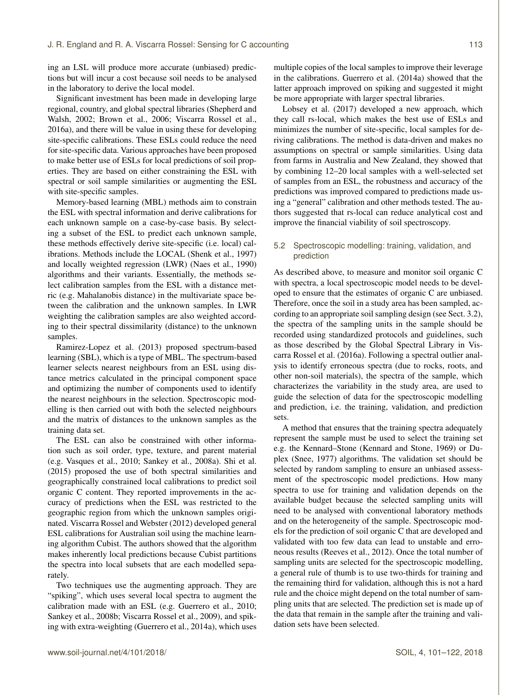ing an LSL will produce more accurate (unbiased) predictions but will incur a cost because soil needs to be analysed in the laboratory to derive the local model.

Significant investment has been made in developing large regional, country, and global spectral libraries [\(Shepherd and](#page-20-21) [Walsh,](#page-20-21) [2002;](#page-20-21) [Brown et al.,](#page-16-15) [2006;](#page-16-15) [Viscarra Rossel et al.,](#page-21-9) [2016a\)](#page-21-9), and there will be value in using these for developing site-specific calibrations. These ESLs could reduce the need for site-specific data. Various approaches have been proposed to make better use of ESLs for local predictions of soil properties. They are based on either constraining the ESL with spectral or soil sample similarities or augmenting the ESL with site-specific samples.

Memory-based learning (MBL) methods aim to constrain the ESL with spectral information and derive calibrations for each unknown sample on a case-by-case basis. By selecting a subset of the ESL to predict each unknown sample, these methods effectively derive site-specific (i.e. local) calibrations. Methods include the LOCAL [\(Shenk et al.,](#page-20-23) [1997\)](#page-20-23) and locally weighted regression (LWR) [\(Naes et al.,](#page-19-25) [1990\)](#page-19-25) algorithms and their variants. Essentially, the methods select calibration samples from the ESL with a distance metric (e.g. Mahalanobis distance) in the multivariate space between the calibration and the unknown samples. In LWR weighting the calibration samples are also weighted according to their spectral dissimilarity (distance) to the unknown samples.

[Ramirez-Lopez et al.](#page-19-26) [\(2013\)](#page-19-26) proposed spectrum-based learning (SBL), which is a type of MBL. The spectrum-based learner selects nearest neighbours from an ESL using distance metrics calculated in the principal component space and optimizing the number of components used to identify the nearest neighbours in the selection. Spectroscopic modelling is then carried out with both the selected neighbours and the matrix of distances to the unknown samples as the training data set.

The ESL can also be constrained with other information such as soil order, type, texture, and parent material (e.g. [Vasques et al.,](#page-21-20) [2010;](#page-21-20) [Sankey et al.,](#page-20-24) [2008a\)](#page-20-24). [Shi et al.](#page-20-25) [\(2015\)](#page-20-25) proposed the use of both spectral similarities and geographically constrained local calibrations to predict soil organic C content. They reported improvements in the accuracy of predictions when the ESL was restricted to the geographic region from which the unknown samples originated. [Viscarra Rossel and Webster](#page-21-19) [\(2012\)](#page-21-19) developed general ESL calibrations for Australian soil using the machine learning algorithm Cubist. The authors showed that the algorithm makes inherently local predictions because Cubist partitions the spectra into local subsets that are each modelled separately.

Two techniques use the augmenting approach. They are "spiking", which uses several local spectra to augment the calibration made with an ESL (e.g. [Guerrero et al.,](#page-17-26) [2010;](#page-17-26) [Sankey et al.,](#page-20-16) [2008b;](#page-20-16) [Viscarra Rossel et al.,](#page-21-21) [2009\)](#page-21-21), and spiking with extra-weighting [\(Guerrero et al.,](#page-17-27) [2014a\)](#page-17-27), which uses multiple copies of the local samples to improve their leverage in the calibrations. [Guerrero et al.](#page-17-27) [\(2014a\)](#page-17-27) showed that the latter approach improved on spiking and suggested it might be more appropriate with larger spectral libraries.

[Lobsey et al.](#page-18-27) [\(2017\)](#page-18-27) developed a new approach, which they call rs-local, which makes the best use of ESLs and minimizes the number of site-specific, local samples for deriving calibrations. The method is data-driven and makes no assumptions on spectral or sample similarities. Using data from farms in Australia and New Zealand, they showed that by combining 12–20 local samples with a well-selected set of samples from an ESL, the robustness and accuracy of the predictions was improved compared to predictions made using a "general" calibration and other methods tested. The authors suggested that rs-local can reduce analytical cost and improve the financial viability of soil spectroscopy.

# 5.2 Spectroscopic modelling: training, validation, and prediction

As described above, to measure and monitor soil organic C with spectra, a local spectroscopic model needs to be developed to ensure that the estimates of organic C are unbiased. Therefore, once the soil in a study area has been sampled, according to an appropriate soil sampling design (see Sect. 3.2), the spectra of the sampling units in the sample should be recorded using standardized protocols and guidelines, such as those described by the Global Spectral Library in [Vis](#page-21-9)[carra Rossel et al.](#page-21-9) [\(2016a\)](#page-21-9). Following a spectral outlier analysis to identify erroneous spectra (due to rocks, roots, and other non-soil materials), the spectra of the sample, which characterizes the variability in the study area, are used to guide the selection of data for the spectroscopic modelling and prediction, i.e. the training, validation, and prediction sets.

A method that ensures that the training spectra adequately represent the sample must be used to select the training set e.g. the Kennard–Stone [\(Kennard and Stone,](#page-18-28) [1969\)](#page-18-28) or Duplex [\(Snee,](#page-20-26) [1977\)](#page-20-26) algorithms. The validation set should be selected by random sampling to ensure an unbiased assessment of the spectroscopic model predictions. How many spectra to use for training and validation depends on the available budget because the selected sampling units will need to be analysed with conventional laboratory methods and on the heterogeneity of the sample. Spectroscopic models for the prediction of soil organic C that are developed and validated with too few data can lead to unstable and erroneous results [\(Reeves et al.,](#page-19-6) [2012\)](#page-19-6). Once the total number of sampling units are selected for the spectroscopic modelling, a general rule of thumb is to use two-thirds for training and the remaining third for validation, although this is not a hard rule and the choice might depend on the total number of sampling units that are selected. The prediction set is made up of the data that remain in the sample after the training and validation sets have been selected.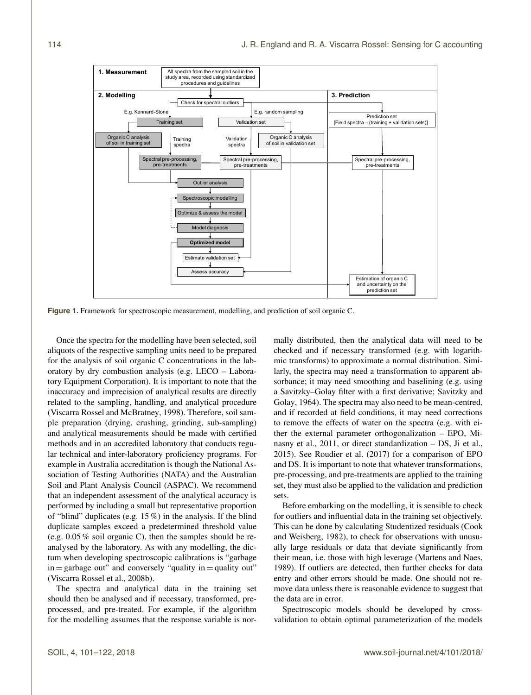<span id="page-13-0"></span>

**Figure 1.** Framework for spectroscopic measurement, modelling, and prediction of soil organic C.

Once the spectra for the modelling have been selected, soil aliquots of the respective sampling units need to be prepared for the analysis of soil organic C concentrations in the laboratory by dry combustion analysis (e.g. LECO – Laboratory Equipment Corporation). It is important to note that the inaccuracy and imprecision of analytical results are directly related to the sampling, handling, and analytical procedure [\(Viscarra Rossel and McBratney,](#page-21-22) [1998\)](#page-21-22). Therefore, soil sample preparation (drying, crushing, grinding, sub-sampling) and analytical measurements should be made with certified methods and in an accredited laboratory that conducts regular technical and inter-laboratory proficiency programs. For example in Australia accreditation is though the National Association of Testing Authorities (NATA) and the Australian Soil and Plant Analysis Council (ASPAC). We recommend that an independent assessment of the analytical accuracy is performed by including a small but representative proportion of "blind" duplicates (e.g. 15 %) in the analysis. If the blind duplicate samples exceed a predetermined threshold value (e.g. 0.05 % soil organic C), then the samples should be reanalysed by the laboratory. As with any modelling, the dictum when developing spectroscopic calibrations is "garbage  $in =$  garbage out" and conversely "quality  $in =$  quality out" [\(Viscarra Rossel et al.,](#page-21-23) [2008b\)](#page-21-23).

The spectra and analytical data in the training set should then be analysed and if necessary, transformed, preprocessed, and pre-treated. For example, if the algorithm for the modelling assumes that the response variable is normally distributed, then the analytical data will need to be checked and if necessary transformed (e.g. with logarithmic transforms) to approximate a normal distribution. Similarly, the spectra may need a transformation to apparent absorbance; it may need smoothing and baselining (e.g. using a Savitzky–Golay filter with a first derivative; [Savitzky and](#page-20-27) [Golay,](#page-20-27) [1964\)](#page-20-27). The spectra may also need to be mean-centred, and if recorded at field conditions, it may need corrections to remove the effects of water on the spectra (e.g. with either the external parameter orthogonalization – EPO, [Mi](#page-19-10)[nasny et al.,](#page-19-10) [2011,](#page-19-10) or direct standardization – DS, [Ji et al.,](#page-18-18) [2015\)](#page-18-18). See [Roudier et al.](#page-19-20) [\(2017\)](#page-19-20) for a comparison of EPO and DS. It is important to note that whatever transformations, pre-processing, and pre-treatments are applied to the training set, they must also be applied to the validation and prediction sets.

Before embarking on the modelling, it is sensible to check for outliers and influential data in the training set objectively. This can be done by calculating Studentized residuals [\(Cook](#page-17-28) [and Weisberg,](#page-17-28) [1982\)](#page-17-28), to check for observations with unusually large residuals or data that deviate significantly from their mean, i.e. those with high leverage [\(Martens and Naes,](#page-18-29) [1989\)](#page-18-29). If outliers are detected, then further checks for data entry and other errors should be made. One should not remove data unless there is reasonable evidence to suggest that the data are in error.

Spectroscopic models should be developed by crossvalidation to obtain optimal parameterization of the models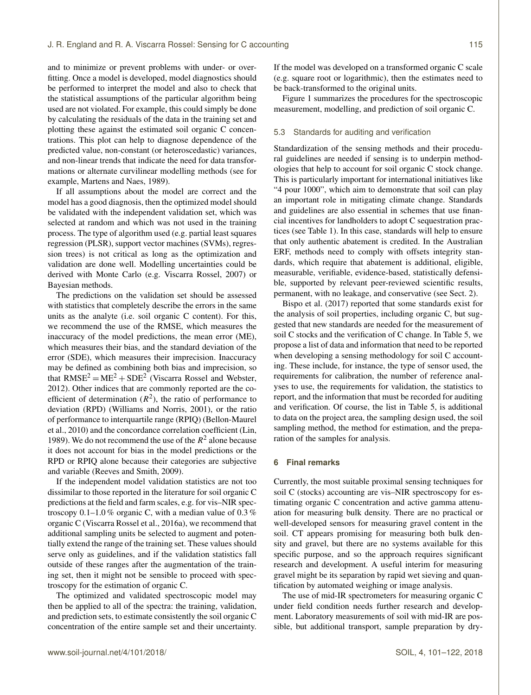and to minimize or prevent problems with under- or overfitting. Once a model is developed, model diagnostics should be performed to interpret the model and also to check that the statistical assumptions of the particular algorithm being used are not violated. For example, this could simply be done by calculating the residuals of the data in the training set and plotting these against the estimated soil organic C concentrations. This plot can help to diagnose dependence of the predicted value, non-constant (or heteroscedastic) variances, and non-linear trends that indicate the need for data transformations or alternate curvilinear modelling methods (see for example, [Martens and Naes,](#page-18-29) [1989\)](#page-18-29).

If all assumptions about the model are correct and the model has a good diagnosis, then the optimized model should be validated with the independent validation set, which was selected at random and which was not used in the training process. The type of algorithm used (e.g. partial least squares regression (PLSR), support vector machines (SVMs), regression trees) is not critical as long as the optimization and validation are done well. Modelling uncertainties could be derived with Monte Carlo (e.g. [Viscarra Rossel,](#page-21-24) [2007\)](#page-21-24) or Bayesian methods.

The predictions on the validation set should be assessed with statistics that completely describe the errors in the same units as the analyte (i.e. soil organic C content). For this, we recommend the use of the RMSE, which measures the inaccuracy of the model predictions, the mean error (ME), which measures their bias, and the standard deviation of the error (SDE), which measures their imprecision. Inaccuracy may be defined as combining both bias and imprecision, so that  $RMSE^2 = ME^2 + SDE^2$  [\(Viscarra Rossel and Webster,](#page-21-19) [2012\)](#page-21-19). Other indices that are commonly reported are the coefficient of determination  $(R^2)$ , the ratio of performance to deviation (RPD) [\(Williams and Norris,](#page-21-8) [2001\)](#page-21-8), or the ratio of performance to interquartile range (RPIQ) [\(Bellon-Maurel](#page-16-16) [et al.,](#page-16-16) [2010\)](#page-16-16) and the concordance correlation coefficient [\(Lin,](#page-18-30) [1989\)](#page-18-30). We do not recommend the use of the  $R^2$  alone because it does not account for bias in the model predictions or the RPD or RPIQ alone because their categories are subjective and variable [\(Reeves and Smith,](#page-19-27) [2009\)](#page-19-27).

If the independent model validation statistics are not too dissimilar to those reported in the literature for soil organic C predictions at the field and farm scales, e.g. for vis–NIR spectroscopy  $0.1-1.0\%$  organic C, with a median value of  $0.3\%$ organic C [\(Viscarra Rossel et al.,](#page-21-9) [2016a\)](#page-21-9), we recommend that additional sampling units be selected to augment and potentially extend the range of the training set. These values should serve only as guidelines, and if the validation statistics fall outside of these ranges after the augmentation of the training set, then it might not be sensible to proceed with spectroscopy for the estimation of organic C.

The optimized and validated spectroscopic model may then be applied to all of the spectra: the training, validation, and prediction sets, to estimate consistently the soil organic C concentration of the entire sample set and their uncertainty. If the model was developed on a transformed organic C scale (e.g. square root or logarithmic), then the estimates need to be back-transformed to the original units.

Figure [1](#page-13-0) summarizes the procedures for the spectroscopic measurement, modelling, and prediction of soil organic C.

#### 5.3 Standards for auditing and verification

Standardization of the sensing methods and their procedural guidelines are needed if sensing is to underpin methodologies that help to account for soil organic C stock change. This is particularly important for international initiatives like "4 pour 1000", which aim to demonstrate that soil can play an important role in mitigating climate change. Standards and guidelines are also essential in schemes that use financial incentives for landholders to adopt C sequestration practices (see Table [1\)](#page-2-0). In this case, standards will help to ensure that only authentic abatement is credited. In the Australian ERF, methods need to comply with offsets integrity standards, which require that abatement is additional, eligible, measurable, verifiable, evidence-based, statistically defensible, supported by relevant peer-reviewed scientific results, permanent, with no leakage, and conservative (see Sect. 2).

[Bispo et al.](#page-16-17) [\(2017\)](#page-16-17) reported that some standards exist for the analysis of soil properties, including organic C, but suggested that new standards are needed for the measurement of soil C stocks and the verification of C change. In Table [5,](#page-15-0) we propose a list of data and information that need to be reported when developing a sensing methodology for soil C accounting. These include, for instance, the type of sensor used, the requirements for calibration, the number of reference analyses to use, the requirements for validation, the statistics to report, and the information that must be recorded for auditing and verification. Of course, the list in Table [5,](#page-15-0) is additional to data on the project area, the sampling design used, the soil sampling method, the method for estimation, and the preparation of the samples for analysis.

#### **6 Final remarks**

Currently, the most suitable proximal sensing techniques for soil C (stocks) accounting are vis–NIR spectroscopy for estimating organic C concentration and active gamma attenuation for measuring bulk density. There are no practical or well-developed sensors for measuring gravel content in the soil. CT appears promising for measuring both bulk density and gravel, but there are no systems available for this specific purpose, and so the approach requires significant research and development. A useful interim for measuring gravel might be its separation by rapid wet sieving and quantification by automated weighing or image analysis.

The use of mid-IR spectrometers for measuring organic C under field condition needs further research and development. Laboratory measurements of soil with mid-IR are possible, but additional transport, sample preparation by dry-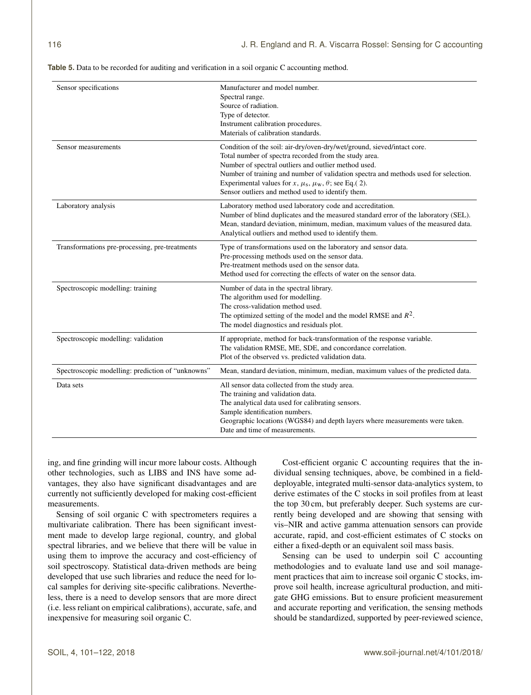| Sensor specifications                             | Manufacturer and model number.<br>Spectral range.<br>Source of radiation.<br>Type of detector.<br>Instrument calibration procedures.<br>Materials of calibration standards.                                                                                                                                                                                                                                   |
|---------------------------------------------------|---------------------------------------------------------------------------------------------------------------------------------------------------------------------------------------------------------------------------------------------------------------------------------------------------------------------------------------------------------------------------------------------------------------|
| Sensor measurements                               | Condition of the soil: air-dry/oven-dry/wet/ground, sieved/intact core.<br>Total number of spectra recorded from the study area.<br>Number of spectral outliers and outlier method used.<br>Number of training and number of validation spectra and methods used for selection.<br>Experimental values for x, $\mu_s$ , $\mu_w$ , $\theta$ ; see Eq.(2).<br>Sensor outliers and method used to identify them. |
| Laboratory analysis                               | Laboratory method used laboratory code and accreditation.<br>Number of blind duplicates and the measured standard error of the laboratory (SEL).<br>Mean, standard deviation, minimum, median, maximum values of the measured data.<br>Analytical outliers and method used to identify them.                                                                                                                  |
| Transformations pre-processing, pre-treatments    | Type of transformations used on the laboratory and sensor data.<br>Pre-processing methods used on the sensor data.<br>Pre-treatment methods used on the sensor data.<br>Method used for correcting the effects of water on the sensor data.                                                                                                                                                                   |
| Spectroscopic modelling: training                 | Number of data in the spectral library.<br>The algorithm used for modelling.<br>The cross-validation method used.<br>The optimized setting of the model and the model RMSE and $R^2$ .<br>The model diagnostics and residuals plot.                                                                                                                                                                           |
| Spectroscopic modelling: validation               | If appropriate, method for back-transformation of the response variable.<br>The validation RMSE, ME, SDE, and concordance correlation.<br>Plot of the observed vs. predicted validation data.                                                                                                                                                                                                                 |
| Spectroscopic modelling: prediction of "unknowns" | Mean, standard deviation, minimum, median, maximum values of the predicted data.                                                                                                                                                                                                                                                                                                                              |
| Data sets                                         | All sensor data collected from the study area.<br>The training and validation data.<br>The analytical data used for calibrating sensors.<br>Sample identification numbers.<br>Geographic locations (WGS84) and depth layers where measurements were taken.<br>Date and time of measurements.                                                                                                                  |

<span id="page-15-0"></span>**Table 5.** Data to be recorded for auditing and verification in a soil organic C accounting method.

ing, and fine grinding will incur more labour costs. Although other technologies, such as LIBS and INS have some advantages, they also have significant disadvantages and are currently not sufficiently developed for making cost-efficient measurements.

Sensing of soil organic C with spectrometers requires a multivariate calibration. There has been significant investment made to develop large regional, country, and global spectral libraries, and we believe that there will be value in using them to improve the accuracy and cost-efficiency of soil spectroscopy. Statistical data-driven methods are being developed that use such libraries and reduce the need for local samples for deriving site-specific calibrations. Nevertheless, there is a need to develop sensors that are more direct (i.e. less reliant on empirical calibrations), accurate, safe, and inexpensive for measuring soil organic C.

Cost-efficient organic C accounting requires that the individual sensing techniques, above, be combined in a fielddeployable, integrated multi-sensor data-analytics system, to derive estimates of the C stocks in soil profiles from at least the top 30 cm, but preferably deeper. Such systems are currently being developed and are showing that sensing with vis–NIR and active gamma attenuation sensors can provide accurate, rapid, and cost-efficient estimates of C stocks on either a fixed-depth or an equivalent soil mass basis.

Sensing can be used to underpin soil C accounting methodologies and to evaluate land use and soil management practices that aim to increase soil organic C stocks, improve soil health, increase agricultural production, and mitigate GHG emissions. But to ensure proficient measurement and accurate reporting and verification, the sensing methods should be standardized, supported by peer-reviewed science,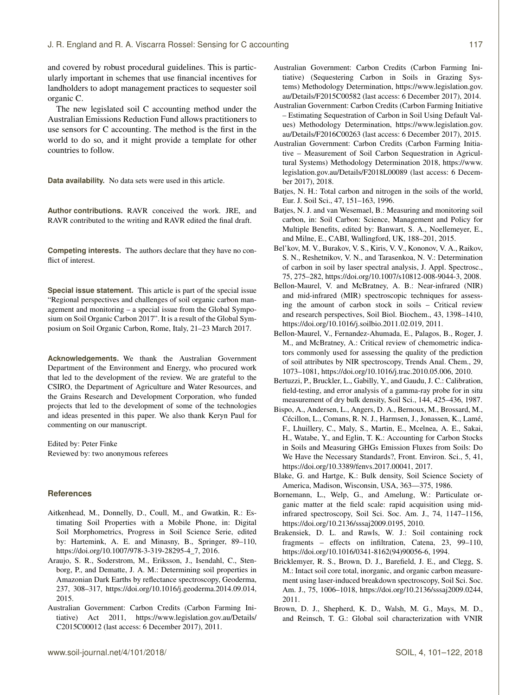and covered by robust procedural guidelines. This is particularly important in schemes that use financial incentives for landholders to adopt management practices to sequester soil organic C.

The new legislated soil C accounting method under the Australian Emissions Reduction Fund allows practitioners to use sensors for C accounting. The method is the first in the world to do so, and it might provide a template for other countries to follow.

**Data availability.** No data sets were used in this article.

**Author contributions.** RAVR conceived the work. JRE, and RAVR contributed to the writing and RAVR edited the final draft.

**Competing interests.** The authors declare that they have no conflict of interest.

**Special issue statement.** This article is part of the special issue "Regional perspectives and challenges of soil organic carbon management and monitoring – a special issue from the Global Symposium on Soil Organic Carbon 2017". It is a result of the Global Symposium on Soil Organic Carbon, Rome, Italy, 21–23 March 2017.

**Acknowledgements.** We thank the Australian Government Department of the Environment and Energy, who procured work that led to the development of the review. We are grateful to the CSIRO, the Department of Agriculture and Water Resources, and the Grains Research and Development Corporation, who funded projects that led to the development of some of the technologies and ideas presented in this paper. We also thank Keryn Paul for commenting on our manuscript.

Edited by: Peter Finke Reviewed by: two anonymous referees

#### **References**

- <span id="page-16-8"></span>Aitkenhead, M., Donnelly, D., Coull, M., and Gwatkin, R.: Estimating Soil Properties with a Mobile Phone, in: Digital Soil Morphometrics, Progress in Soil Science Serie, edited by: Hartemink, A. E. and Minasny, B., Springer, 89–110, https://doi.org[/10.1007/978-3-319-28295-4\\_7,](https://doi.org/10.1007/978-3-319-28295-4_7) 2016.
- <span id="page-16-13"></span>Araujo, S. R., Soderstrom, M., Eriksson, J., Isendahl, C., Stenborg, P., and Dematte, J. A. M.: Determining soil properties in Amazonian Dark Earths by reflectance spectroscopy, Geoderma, 237, 308–317, https://doi.org[/10.1016/j.geoderma.2014.09.014,](https://doi.org/10.1016/j.geoderma.2014.09.014) 2015.
- <span id="page-16-7"></span>Australian Government: Carbon Credits (Carbon Farming Initiative) Act 2011, [https://www.legislation.gov.au/Details/](https://www.legislation.gov.au/Details/C2015C00012) [C2015C00012](https://www.legislation.gov.au/Details/C2015C00012) (last access: 6 December 2017), 2011.
- <span id="page-16-4"></span>Australian Government: Carbon Credits (Carbon Farming Initiative) (Sequestering Carbon in Soils in Grazing Systems) Methodology Determination, [https://www.legislation.gov.](https://www.legislation.gov.au/Details/F2015C00582) [au/Details/F2015C00582](https://www.legislation.gov.au/Details/F2015C00582) (last access: 6 December 2017), 2014.
- <span id="page-16-5"></span>Australian Government: Carbon Credits (Carbon Farming Initiative – Estimating Sequestration of Carbon in Soil Using Default Values) Methodology Determination, [https://www.legislation.gov.](https://www.legislation.gov.au/Details/F2016C00263) [au/Details/F2016C00263](https://www.legislation.gov.au/Details/F2016C00263) (last access: 6 December 2017), 2015.
- <span id="page-16-6"></span>Australian Government: Carbon Credits (Carbon Farming Initiative – Measurement of Soil Carbon Sequestration in Agricultural Systems) Methodology Determination 2018, [https://www.](https://www.legislation.gov.au/Details/F2018L00089) [legislation.gov.au/Details/F2018L00089](https://www.legislation.gov.au/Details/F2018L00089) (last access: 6 December 2017), 2018.
- <span id="page-16-0"></span>Batjes, N. H.: Total carbon and nitrogen in the soils of the world, Eur. J. Soil Sci., 47, 151–163, 1996.
- <span id="page-16-1"></span>Batjes, N. J. and van Wesemael, B.: Measuring and monitoring soil carbon, in: Soil Carbon: Science, Management and Policy for Multiple Benefits, edited by: Banwart, S. A., Noellemeyer, E., and Milne, E., CABI, Wallingford, UK, 188–201, 2015.
- <span id="page-16-9"></span>Bel'kov, M. V., Burakov, V. S., Kiris, V. V., Kononov, V. A., Raikov, S. N., Reshetnikov, V. N., and Tarasenkoa, N. V.: Determination of carbon in soil by laser spectral analysis, J. Appl. Spectrosc., 75, 275–282, https://doi.org[/10.1007/s10812-008-9044-3,](https://doi.org/10.1007/s10812-008-9044-3) 2008.
- <span id="page-16-3"></span>Bellon-Maurel, V. and McBratney, A. B.: Near-infrared (NIR) and mid-infrared (MIR) spectroscopic techniques for assessing the amount of carbon stock in soils – Critical review and research perspectives, Soil Biol. Biochem., 43, 1398–1410, https://doi.org[/10.1016/j.soilbio.2011.02.019,](https://doi.org/10.1016/j.soilbio.2011.02.019) 2011.
- <span id="page-16-16"></span>Bellon-Maurel, V., Fernandez-Ahumada, E., Palagos, B., Roger, J. M., and McBratney, A.: Critical review of chemometric indicators commonly used for assessing the quality of the prediction of soil attributes by NIR spectroscopy, Trends Anal. Chem., 29, 1073–1081, https://doi.org[/10.1016/j.trac.2010.05.006,](https://doi.org/10.1016/j.trac.2010.05.006) 2010.
- <span id="page-16-11"></span>Bertuzzi, P., Bruckler, L., Gabilly, Y., and Gaudu, J. C.: Calibration, field-testing, and error analysis of a gamma-ray probe for in situ measurement of dry bulk density, Soil Sci., 144, 425–436, 1987.
- <span id="page-16-17"></span>Bispo, A., Andersen, L., Angers, D. A., Bernoux, M., Brossard, M., Cécillon, L., Comans, R. N. J., Harmsen, J., Jonassen, K., Lamé, F., Lhuillery, C., Maly, S., Martin, E., Mcelnea, A. E., Sakai, H., Watabe, Y., and Eglin, T. K.: Accounting for Carbon Stocks in Soils and Measuring GHGs Emission Fluxes from Soils: Do We Have the Necessary Standards?, Front. Environ. Sci., 5, 41, https://doi.org[/10.3389/fenvs.2017.00041,](https://doi.org/10.3389/fenvs.2017.00041) 2017.
- <span id="page-16-2"></span>Blake, G. and Hartge, K.: Bulk density, Soil Science Society of America, Madison, Wisconsin, USA, 363—375, 1986.
- <span id="page-16-14"></span>Bornemann, L., Welp, G., and Amelung, W.: Particulate organic matter at the field scale: rapid acquisition using midinfrared spectroscopy, Soil Sci. Soc. Am. J., 74, 1147–1156, https://doi.org[/10.2136/sssaj2009.0195,](https://doi.org/10.2136/sssaj2009.0195) 2010.
- <span id="page-16-12"></span>Brakensiek, D. L. and Rawls, W. J.: Soil containing rock fragments – effects on infiltration, Catena, 23, 99–110, https://doi.org[/10.1016/0341-8162\(94\)90056-6,](https://doi.org/10.1016/0341-8162(94)90056-6) 1994.
- <span id="page-16-10"></span>Bricklemyer, R. S., Brown, D. J., Barefield, J. E., and Clegg, S. M.: Intact soil core total, inorganic, and organic carbon measurement using laser-induced breakdown spectroscopy, Soil Sci. Soc. Am. J., 75, 1006–1018, https://doi.org[/10.2136/sssaj2009.0244,](https://doi.org/10.2136/sssaj2009.0244) 2011.
- <span id="page-16-15"></span>Brown, D. J., Shepherd, K. D., Walsh, M. G., Mays, M. D., and Reinsch, T. G.: Global soil characterization with VNIR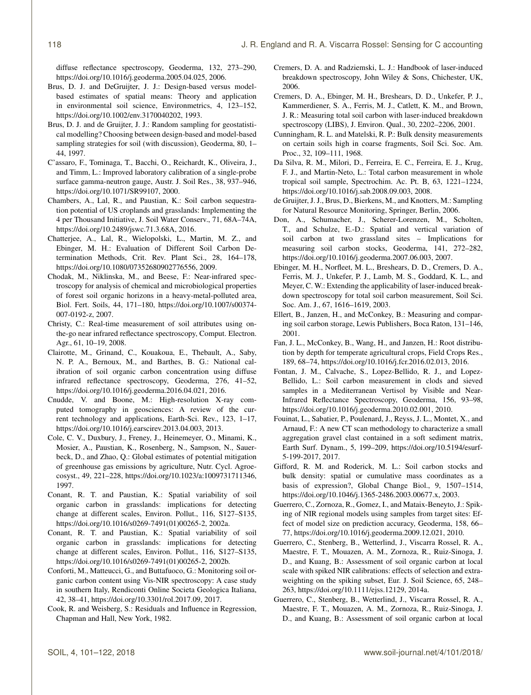diffuse reflectance spectroscopy, Geoderma, 132, 273–290, https://doi.org[/10.1016/j.geoderma.2005.04.025,](https://doi.org/10.1016/j.geoderma.2005.04.025) 2006.

- <span id="page-17-9"></span>Brus, D. J. and DeGruijter, J. J.: Design-based versus modelbased estimates of spatial means: Theory and application in environmental soil science, Environmetrics, 4, 123–152, https://doi.org[/10.1002/env.3170040202,](https://doi.org/10.1002/env.3170040202) 1993.
- <span id="page-17-11"></span>Brus, D. J. and de Gruijter, J. J.: Random sampling for geostatistical modelling? Choosing between design-based and model-based sampling strategies for soil (with discussion), Geoderma, 80, 1– 44, 1997.
- <span id="page-17-18"></span>C'assaro, F., Tominaga, T., Bacchi, O., Reichardt, K., Oliveira, J., and Timm, L.: Improved laboratory calibration of a single-probe surface gamma-neutron gauge, Austr. J. Soil Res., 38, 937–946, https://doi.org[/10.1071/SR99107,](https://doi.org/10.1071/SR99107) 2000.
- <span id="page-17-1"></span>Chambers, A., Lal, R., and Paustian, K.: Soil carbon sequestration potential of US croplands and grasslands: Implementing the 4 per Thousand Initiative, J. Soil Water Conserv., 71, 68A–74A, https://doi.org[/10.2489/jswc.71.3.68A,](https://doi.org/10.2489/jswc.71.3.68A) 2016.
- <span id="page-17-17"></span>Chatterjee, A., Lal, R., Wielopolski, L., Martin, M. Z., and Ebinger, M. H.: Evaluation of Different Soil Carbon Determination Methods, Crit. Rev. Plant Sci., 28, 164–178, https://doi.org[/10.1080/07352680902776556,](https://doi.org/10.1080/07352680902776556) 2009.
- <span id="page-17-21"></span>Chodak, M., Niklinska, M., and Beese, F.: Near-infrared spectroscopy for analysis of chemical and microbiological properties of forest soil organic horizons in a heavy-metal-polluted area, Biol. Fert. Soils, 44, 171–180, https://doi.org[/10.1007/s00374-](https://doi.org/10.1007/s00374-007-0192-z) [007-0192-z,](https://doi.org/10.1007/s00374-007-0192-z) 2007.
- <span id="page-17-12"></span>Christy, C.: Real-time measurement of soil attributes using onthe-go near infrared reflectance spectroscopy, Comput. Electron. Agr., 61, 10–19, 2008.
- <span id="page-17-24"></span>Clairotte, M., Grinand, C., Kouakoua, E., Thebault, A., Saby, N. P. A., Bernoux, M., and Barthes, B. G.: National calibration of soil organic carbon concentration using diffuse infrared reflectance spectroscopy, Geoderma, 276, 41–52, https://doi.org[/10.1016/j.geoderma.2016.04.021,](https://doi.org/10.1016/j.geoderma.2016.04.021) 2016.
- <span id="page-17-19"></span>Cnudde, V. and Boone, M.: High-resolution X-ray computed tomography in geosciences: A review of the current technology and applications, Earth-Sci. Rev., 123, 1–17, https://doi.org[/10.1016/j.earscirev.2013.04.003,](https://doi.org/10.1016/j.earscirev.2013.04.003) 2013.
- <span id="page-17-0"></span>Cole, C. V., Duxbury, J., Freney, J., Heinemeyer, O., Minami, K., Mosier, A., Paustian, K., Rosenberg, N., Sampson, N., Sauerbeck, D., and Zhao, Q.: Global estimates of potential mitigation of greenhouse gas emissions by agriculture, Nutr. Cycl. Agroecosyst., 49, 221–228, https://doi.org[/10.1023/a:1009731711346,](https://doi.org/10.1023/a:1009731711346) 1997.
- <span id="page-17-3"></span>Conant, R. T. and Paustian, K.: Spatial variability of soil organic carbon in grasslands: implications for detecting change at different scales, Environ. Pollut., 116, S127–S135, https://doi.org[/10.1016/s0269-7491\(01\)00265-2,](https://doi.org/10.1016/s0269-7491(01)00265-2) 2002a.
- <span id="page-17-5"></span>Conant, R. T. and Paustian, K.: Spatial variability of soil organic carbon in grasslands: implications for detecting change at different scales, Environ. Pollut., 116, S127–S135, https://doi.org[/10.1016/s0269-7491\(01\)00265-2,](https://doi.org/10.1016/s0269-7491(01)00265-2) 2002b.
- <span id="page-17-22"></span>Conforti, M., Matteucci, G., and Buttafuoco, G.: Monitoring soil organic carbon content using Vis-NIR spectroscopy: A case study in southern Italy, Rendiconti Online Societa Geologica Italiana, 42, 38–41, https://doi.org[/10.3301/rol.2017.09,](https://doi.org/10.3301/rol.2017.09) 2017.
- <span id="page-17-28"></span>Cook, R. and Weisberg, S.: Residuals and Influence in Regression, Chapman and Hall, New York, 1982.
- <span id="page-17-13"></span>Cremers, D. A. and Radziemski, L. J.: Handbook of laser-induced breakdown spectroscopy, John Wiley & Sons, Chichester, UK, 2006.
- <span id="page-17-14"></span>Cremers, D. A., Ebinger, M. H., Breshears, D. D., Unkefer, P. J., Kammerdiener, S. A., Ferris, M. J., Catlett, K. M., and Brown, J. R.: Measuring total soil carbon with laser-induced breakdown spectroscopy (LIBS), J. Environ. Qual., 30, 2202–2206, 2001.
- <span id="page-17-7"></span>Cunningham, R. L. and Matelski, R. P.: Bulk density measurements on certain soils high in coarse fragments, Soil Sci. Soc. Am. Proc., 32, 109–111, 1968.
- <span id="page-17-16"></span>Da Silva, R. M., Milori, D., Ferreira, E. C., Ferreira, E. J., Krug, F. J., and Martin-Neto, L.: Total carbon measurement in whole tropical soil sample, Spectrochim. Ac. Pt. B, 63, 1221–1224, https://doi.org[/10.1016/j.sab.2008.09.003,](https://doi.org/10.1016/j.sab.2008.09.003) 2008.
- <span id="page-17-10"></span>de Gruijter, J. J., Brus, D., Bierkens, M., and Knotters, M.: Sampling for Natural Resource Monitoring, Springer, Berlin, 2006.
- <span id="page-17-20"></span>Don, A., Schumacher, J., Scherer-Lorenzen, M., Scholten, T., and Schulze, E.-D.: Spatial and vertical variation of soil carbon at two grassland sites – Implications for measuring soil carbon stocks, Geoderma, 141, 272–282, https://doi.org[/10.1016/j.geoderma.2007.06.003,](https://doi.org/10.1016/j.geoderma.2007.06.003) 2007.
- <span id="page-17-15"></span>Ebinger, M. H., Norfleet, M. L., Breshears, D. D., Cremers, D. A., Ferris, M. J., Unkefer, P. J., Lamb, M. S., Goddard, K. L., and Meyer, C. W.: Extending the applicability of laser-induced breakdown spectroscopy for total soil carbon measurement, Soil Sci. Soc. Am. J., 67, 1616–1619, 2003.
- <span id="page-17-4"></span>Ellert, B., Janzen, H., and McConkey, B.: Measuring and comparing soil carbon storage, Lewis Publishers, Boca Raton, 131–146, 2001.
- <span id="page-17-6"></span>Fan, J. L., McConkey, B., Wang, H., and Janzen, H.: Root distribution by depth for temperate agricultural crops, Field Crops Res., 189, 68–74, https://doi.org[/10.1016/j.fcr.2016.02.013,](https://doi.org/10.1016/j.fcr.2016.02.013) 2016.
- <span id="page-17-23"></span>Fontan, J. M., Calvache, S., Lopez-Bellido, R. J., and Lopez-Bellido, L.: Soil carbon measurement in clods and sieved samples in a Mediterranean Vertisol by Visible and Near-Infrared Reflectance Spectroscopy, Geoderma, 156, 93–98, https://doi.org[/10.1016/j.geoderma.2010.02.001,](https://doi.org/10.1016/j.geoderma.2010.02.001) 2010.
- <span id="page-17-2"></span>Fouinat, L., Sabatier, P., Poulenard, J., Reyss, J. L., Montet, X., and Arnaud, F.: A new CT scan methodology to characterize a small aggregation gravel clast contained in a soft sediment matrix, Earth Surf. Dynam., 5, 199–209, https://doi.org[/10.5194/esurf-](https://doi.org/10.5194/esurf-5-199-2017)[5-199-2017,](https://doi.org/10.5194/esurf-5-199-2017) 2017.
- <span id="page-17-8"></span>Gifford, R. M. and Roderick, M. L.: Soil carbon stocks and bulk density: spatial or cumulative mass coordinates as a basis of expression?, Global Change Biol., 9, 1507–1514, https://doi.org[/10.1046/j.1365-2486.2003.00677.x,](https://doi.org/10.1046/j.1365-2486.2003.00677.x) 2003.
- <span id="page-17-26"></span>Guerrero, C., Zornoza, R., Gomez, I., and Mataix-Beneyto, J.: Spiking of NIR regional models using samples from target sites: Effect of model size on prediction accuracy, Geoderma, 158, 66– 77, https://doi.org[/10.1016/j.geoderma.2009.12.021,](https://doi.org/10.1016/j.geoderma.2009.12.021) 2010.
- <span id="page-17-27"></span>Guerrero, C., Stenberg, B., Wetterlind, J., Viscarra Rossel, R. A., Maestre, F. T., Mouazen, A. M., Zornoza, R., Ruiz-Sinoga, J. D., and Kuang, B.: Assessment of soil organic carbon at local scale with spiked NIR calibrations: effects of selection and extraweighting on the spiking subset, Eur. J. Soil Science, 65, 248– 263, https://doi.org[/10.1111/ejss.12129,](https://doi.org/10.1111/ejss.12129) 2014a.
- <span id="page-17-25"></span>Guerrero, C., Stenberg, B., Wetterlind, J., Viscarra Rossel, R. A., Maestre, F. T., Mouazen, A. M., Zornoza, R., Ruiz-Sinoga, J. D., and Kuang, B.: Assessment of soil organic carbon at local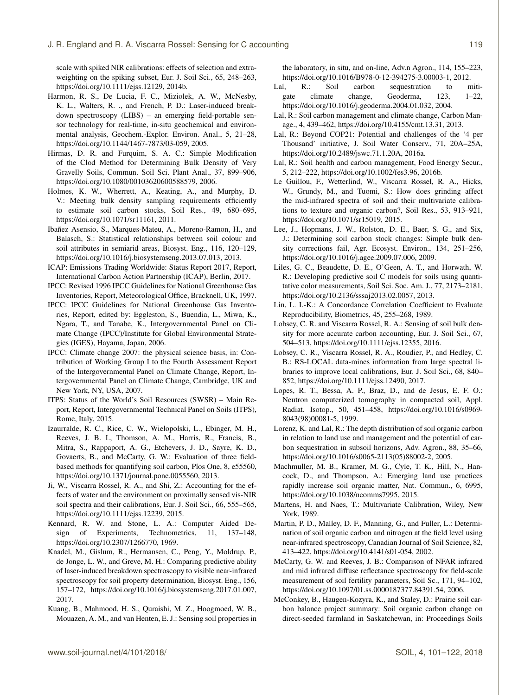scale with spiked NIR calibrations: effects of selection and extraweighting on the spiking subset, Eur. J. Soil Sci., 65, 248–263, https://doi.org[/10.1111/ejss.12129,](https://doi.org/10.1111/ejss.12129) 2014b.

- <span id="page-18-22"></span>Harmon, R. S., De Lucia, F. C., Miziolek, A. W., McNesby, K. L., Walters, R. ., and French, P. D.: Laser-induced breakdown spectroscopy (LIBS) – an emerging field-portable sensor technology for real-time, in-situ geochemical and environmental analysis, Geochem.-Explor. Environ. Anal., 5, 21–28, https://doi.org[/10.1144/1467-7873/03-059,](https://doi.org/10.1144/1467-7873/03-059) 2005.
- <span id="page-18-14"></span>Hirmas, D. R. and Furquim, S. A. C.: Simple Modification of the Clod Method for Determining Bulk Density of Very Gravelly Soils, Commun. Soil Sci. Plant Anal., 37, 899–906, https://doi.org[/10.1080/00103620600588579,](https://doi.org/10.1080/00103620600588579) 2006.
- <span id="page-18-23"></span>Holmes, K. W., Wherrett, A., Keating, A., and Murphy, D. V.: Meeting bulk density sampling requirements efficiently to estimate soil carbon stocks, Soil Res., 49, 680–695, https://doi.org[/10.1071/sr11161,](https://doi.org/10.1071/sr11161) 2011.
- <span id="page-18-16"></span>Ibañez Asensio, S., Marques-Mateu, A., Moreno-Ramon, H., and Balasch, S.: Statistical relationships between soil colour and soil attributes in semiarid areas, Biosyst. Eng., 116, 120–129, https://doi.org[/10.1016/j.biosystemseng.2013.07.013,](https://doi.org/10.1016/j.biosystemseng.2013.07.013) 2013.
- <span id="page-18-10"></span>ICAP: Emissions Trading Worldwide: Status Report 2017, Report, International Carbon Action Partnership (ICAP), Berlin, 2017.
- <span id="page-18-12"></span>IPCC: Revised 1996 IPCC Guidelines for National Greenhouse Gas Inventories, Report, Meteorological Office, Bracknell, UK, 1997.
- <span id="page-18-9"></span>IPCC: IPCC Guidelines for National Greenhouse Gas Inventories, Report, edited by: Eggleston, S., Buendia, L., Miwa, K., Ngara, T., and Tanabe, K., Intergovernmental Panel on Climate Change (IPCC)/Institute for Global Environmental Strategies (IGES), Hayama, Japan, 2006.
- <span id="page-18-6"></span>IPCC: Climate change 2007: the physical science basis, in: Contribution of Working Group I to the Fourth Assessment Report of the Intergovernmental Panel on Climate Change, Report, Intergovernmental Panel on Climate Change, Cambridge, UK and New York, NY, USA, 2007.
- <span id="page-18-3"></span>ITPS: Status of the World's Soil Resources (SWSR) – Main Report, Report, Intergovernmental Technical Panel on Soils (ITPS), Rome, Italy, 2015.
- <span id="page-18-7"></span>Izaurralde, R. C., Rice, C. W., Wielopolski, L., Ebinger, M. H., Reeves, J. B. I., Thomson, A. M., Harris, R., Francis, B., Mitra, S., Rappaport, A. G., Etchevers, J. D., Sayre, K. D., Govaerts, B., and McCarty, G. W.: Evaluation of three fieldbased methods for quantifying soil carbon, Plos One, 8, e55560, https://doi.org[/10.1371/journal.pone.0055560,](https://doi.org/10.1371/journal.pone.0055560) 2013.
- <span id="page-18-18"></span>Ji, W., Viscarra Rossel, R. A., and Shi, Z.: Accounting for the effects of water and the environment on proximally sensed vis-NIR soil spectra and their calibrations, Eur. J. Soil Sci., 66, 555–565, https://doi.org[/10.1111/ejss.12239,](https://doi.org/10.1111/ejss.12239) 2015.
- <span id="page-18-28"></span>Kennard, R. W. and Stone, L. A.: Computer Aided Design of Experiments, Technometrics, 11, 137–148, https://doi.org[/10.2307/1266770,](https://doi.org/10.2307/1266770) 1969.
- <span id="page-18-21"></span>Knadel, M., Gislum, R., Hermansen, C., Peng, Y., Moldrup, P., de Jonge, L. W., and Greve, M. H.: Comparing predictive ability of laser-induced breakdown spectroscopy to visible near-infrared spectroscopy for soil property determination, Biosyst. Eng., 156, 157–172, https://doi.org[/10.1016/j.biosystemseng.2017.01.007,](https://doi.org/10.1016/j.biosystemseng.2017.01.007) 2017.
- <span id="page-18-20"></span>Kuang, B., Mahmood, H. S., Quraishi, M. Z., Hoogmoed, W. B., Mouazen, A. M., and van Henten, E. J.: Sensing soil properties in

the laboratory, in situ, and on-line, Adv.n Agron., 114, 155–223, https://doi.org[/10.1016/B978-0-12-394275-3.00003-1,](https://doi.org/10.1016/B978-0-12-394275-3.00003-1) 2012.

- <span id="page-18-1"></span>Lal, R.: Soil carbon sequestration to mitigate climate change, Geoderma, 123, 1–22, https://doi.org[/10.1016/j.geoderma.2004.01.032,](https://doi.org/10.1016/j.geoderma.2004.01.032) 2004.
- <span id="page-18-0"></span>Lal, R.: Soil carbon management and climate change, Carbon Manage., 4, 439–462, https://doi.org[/10.4155/cmt.13.31,](https://doi.org/10.4155/cmt.13.31) 2013.
- <span id="page-18-4"></span>Lal, R.: Beyond COP21: Potential and challenges of the '4 per Thousand' initiative, J. Soil Water Conserv., 71, 20A–25A, https://doi.org[/10.2489/jswc.71.1.20A,](https://doi.org/10.2489/jswc.71.1.20A) 2016a.
- <span id="page-18-2"></span>Lal, R.: Soil health and carbon management, Food Energy Secur., 5, 212–222, https://doi.org[/10.1002/fes3.96,](https://doi.org/10.1002/fes3.96) 2016b.
- <span id="page-18-19"></span>Le Guillou, F., Wetterlind, W., Viscarra Rossel, R. A., Hicks, W., Grundy, M., and Tuomi, S.: How does grinding affect the mid-infrared spectra of soil and their multivariate calibrations to texture and organic carbon?, Soil Res., 53, 913–921, https://doi.org[/10.1071/sr15019,](https://doi.org/10.1071/sr15019) 2015.
- <span id="page-18-15"></span>Lee, J., Hopmans, J. W., Rolston, D. E., Baer, S. G., and Six, J.: Determining soil carbon stock changes: Simple bulk density corrections fail, Agr. Ecosyst. Environ., 134, 251–256, https://doi.org[/10.1016/j.agee.2009.07.006,](https://doi.org/10.1016/j.agee.2009.07.006) 2009.
- <span id="page-18-17"></span>Liles, G. C., Beaudette, D. E., O'Geen, A. T., and Horwath, W. R.: Developing predictive soil C models for soils using quantitative color measurements, Soil Sci. Soc. Am. J., 77, 2173–2181, https://doi.org[/10.2136/sssaj2013.02.0057,](https://doi.org/10.2136/sssaj2013.02.0057) 2013.
- <span id="page-18-30"></span>Lin, L. I.-K.: A Concordance Correlation Coefficient to Evaluate Reproducibility, Biometrics, 45, 255–268, 1989.
- <span id="page-18-8"></span>Lobsey, C. R. and Viscarra Rossel, R. A.: Sensing of soil bulk density for more accurate carbon accounting, Eur. J. Soil Sci., 67, 504–513, https://doi.org[/10.1111/ejss.12355,](https://doi.org/10.1111/ejss.12355) 2016.
- <span id="page-18-27"></span>Lobsey, C. R., Viscarra Rossel, R. A., Roudier, P., and Hedley, C. B.: RS-LOCAL data-mines information from large spectral libraries to improve local calibrations, Eur. J. Soil Sci., 68, 840– 852, https://doi.org[/10.1111/ejss.12490,](https://doi.org/10.1111/ejss.12490) 2017.
- <span id="page-18-24"></span>Lopes, R. T., Bessa, A. P., Braz, D., and de Jesus, E. F. O.: Neutron computerized tomography in compacted soil, Appl. Radiat. Isotop., 50, 451–458, https://doi.org[/10.1016/s0969-](https://doi.org/10.1016/s0969-8043(98)00081-5) [8043\(98\)00081-5,](https://doi.org/10.1016/s0969-8043(98)00081-5) 1999.
- <span id="page-18-13"></span>Lorenz, K. and Lal, R.: The depth distribution of soil organic carbon in relation to land use and management and the potential of carbon sequestration in subsoil horizons, Adv. Agron., 88, 35–66, https://doi.org[/10.1016/s0065-2113\(05\)88002-2,](https://doi.org/10.1016/s0065-2113(05)88002-2) 2005.
- <span id="page-18-5"></span>Machmuller, M. B., Kramer, M. G., Cyle, T. K., Hill, N., Hancock, D., and Thompson, A.: Emerging land use practices rapidly increase soil organic matter, Nat. Commun., 6, 6995, https://doi.org[/10.1038/ncomms7995,](https://doi.org/10.1038/ncomms7995) 2015.
- <span id="page-18-29"></span>Martens, H. and Naes, T.: Multivariate Calibration, Wiley, New York, 1989.
- <span id="page-18-25"></span>Martin, P. D., Malley, D. F., Manning, G., and Fuller, L.: Determination of soil organic carbon and nitrogen at the field level using near-infrared spectroscopy, Canadian Journal of Soil Science, 82, 413–422, https://doi.org[/10.4141/s01-054,](https://doi.org/10.4141/s01-054) 2002.
- <span id="page-18-26"></span>McCarty, G. W. and Reeves, J. B.: Comparison of NFAR infrared and mid infrared diffuse reflectance spectroscopy for field-scale measurement of soil fertility parameters, Soil Sc., 171, 94–102, https://doi.org[/10.1097/01.ss.0000187377.84391.54,](https://doi.org/10.1097/01.ss.0000187377.84391.54) 2006.
- <span id="page-18-11"></span>McConkey, B., Haugen-Kozyra, K., and Staley, D.: Prairie soil carbon balance project summary: Soil organic carbon change on direct-seeded farmland in Saskatchewan, in: Proceedings Soils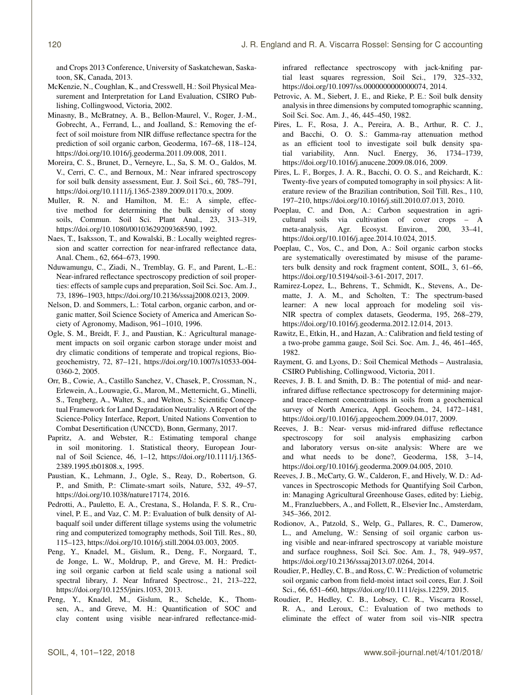and Crops 2013 Conference, University of Saskatchewan, Saskatoon, SK, Canada, 2013.

- <span id="page-19-5"></span>McKenzie, N., Coughlan, K., and Cresswell, H.: Soil Physical Measurement and Interpretation for Land Evaluation, CSIRO Publishing, Collingwood, Victoria, 2002.
- <span id="page-19-10"></span>Minasny, B., McBratney, A. B., Bellon-Maurel, V., Roger, J.-M., Gobrecht, A., Ferrand, L., and Joalland, S.: Removing the effect of soil moisture from NIR diffuse reflectance spectra for the prediction of soil organic carbon, Geoderma, 167–68, 118–124, https://doi.org[/10.1016/j.geoderma.2011.09.008,](https://doi.org/10.1016/j.geoderma.2011.09.008) 2011.
- <span id="page-19-17"></span>Moreira, C. S., Brunet, D., Verneyre, L., Sa, S. M. O., Galdos, M. V., Cerri, C. C., and Bernoux, M.: Near infrared spectroscopy for soil bulk density assessment, Eur. J. Soil Sci., 60, 785–791, https://doi.org[/10.1111/j.1365-2389.2009.01170.x,](https://doi.org/10.1111/j.1365-2389.2009.01170.x) 2009.
- <span id="page-19-8"></span>Muller, R. N. and Hamilton, M. E.: A simple, effective method for determining the bulk density of stony soils, Commun. Soil Sci. Plant Anal., 23, 313–319, https://doi.org[/10.1080/00103629209368590,](https://doi.org/10.1080/00103629209368590) 1992.
- <span id="page-19-25"></span>Naes, T., Isaksson, T., and Kowalski, B.: Locally weighted regression and scatter correction for near-infrared reflectance data, Anal. Chem., 62, 664–673, 1990.
- <span id="page-19-21"></span>Nduwamungu, C., Ziadi, N., Tremblay, G. F., and Parent, L.-E.: Near-infrared reflectance spectroscopy prediction of soil properties: effects of sample cups and preparation, Soil Sci. Soc. Am. J., 73, 1896–1903, https://doi.org[/10.2136/sssaj2008.0213,](https://doi.org/10.2136/sssaj2008.0213) 2009.
- <span id="page-19-4"></span>Nelson, D. and Sommers, L.: Total carbon, organic carbon, and organic matter, Soil Science Society of America and American Society of Agronomy, Madison, 961–1010, 1996.
- <span id="page-19-1"></span>Ogle, S. M., Breidt, F. J., and Paustian, K.: Agricultural management impacts on soil organic carbon storage under moist and dry climatic conditions of temperate and tropical regions, Biogeochemistry, 72, 87–121, https://doi.org[/10.1007/s10533-004-](https://doi.org/10.1007/s10533-004-0360-2) [0360-2,](https://doi.org/10.1007/s10533-004-0360-2) 2005.
- <span id="page-19-0"></span>Orr, B., Cowie, A., Castillo Sanchez, V., Chasek, P., Crossman, N., Erlewein, A., Louwagie, G., Maron, M., Metternicht, G., Minelli, S., Tengberg, A., Walter, S., and Welton, S.: Scientific Conceptual Framework for Land Degradation Neutrality. A Report of the Science-Policy Interface, Report, United Nations Convention to Combat Desertification (UNCCD), Bonn, Germany, 2017.
- <span id="page-19-9"></span>Papritz, A. and Webster, R.: Estimating temporal change in soil monitoring. 1. Statistical theory, European Journal of Soil Science, 46, 1–12, https://doi.org[/10.1111/j.1365-](https://doi.org/10.1111/j.1365-2389.1995.tb01808.x) [2389.1995.tb01808.x,](https://doi.org/10.1111/j.1365-2389.1995.tb01808.x) 1995.
- <span id="page-19-3"></span>Paustian, K., Lehmann, J., Ogle, S., Reay, D., Robertson, G. P., and Smith, P.: Climate-smart soils, Nature, 532, 49–57, https://doi.org[/10.1038/nature17174,](https://doi.org/10.1038/nature17174) 2016.
- <span id="page-19-16"></span>Pedrotti, A., Pauletto, E. A., Crestana, S., Holanda, F. S. R., Cruvinel, P. E., and Vaz, C. M. P.: Evaluation of bulk density of Albaqualf soil under different tillage systems using the volumetric ring and computerized tomography methods, Soil Till. Res., 80, 115–123, https://doi.org[/10.1016/j.still.2004.03.003,](https://doi.org/10.1016/j.still.2004.03.003) 2005.
- <span id="page-19-22"></span>Peng, Y., Knadel, M., Gislum, R., Deng, F., Norgaard, T., de Jonge, L. W., Moldrup, P., and Greve, M. H.: Predicting soil organic carbon at field scale using a national soil spectral library, J. Near Infrared Spectrosc., 21, 213–222, https://doi.org[/10.1255/jnirs.1053,](https://doi.org/10.1255/jnirs.1053) 2013.
- <span id="page-19-23"></span>Peng, Y., Knadel, M., Gislum, R., Schelde, K., Thomsen, A., and Greve, M. H.: Quantification of SOC and clay content using visible near-infrared reflectance-mid-

infrared reflectance spectroscopy with jack-knifing partial least squares regression, Soil Sci., 179, 325–332, https://doi.org[/10.1097/ss.0000000000000074,](https://doi.org/10.1097/ss.0000000000000074) 2014.

- <span id="page-19-14"></span>Petrovic, A. M., Siebert, J. E., and Rieke, P. E.: Soil bulk density analysis in three dimensions by computed tomographic scanning, Soil Sci. Soc. Am. J., 46, 445–450, 1982.
- <span id="page-19-12"></span>Pires, L. F., Rosa, J. A., Pereira, A. B., Arthur, R. C. J., and Bacchi, O. O. S.: Gamma-ray attenuation method as an efficient tool to investigate soil bulk density spatial variability, Ann. Nucl. Energy, 36, 1734–1739, https://doi.org[/10.1016/j.anucene.2009.08.016,](https://doi.org/10.1016/j.anucene.2009.08.016) 2009.
- <span id="page-19-15"></span>Pires, L. F., Borges, J. A. R., Bacchi, O. O. S., and Reichardt, K.: Twenty-five years of computed tomography in soil physics: A literature review of the Brazilian contribution, Soil Till. Res., 110, 197–210, https://doi.org[/10.1016/j.still.2010.07.013,](https://doi.org/10.1016/j.still.2010.07.013) 2010.
- <span id="page-19-2"></span>Poeplau, C. and Don, A.: Carbon sequestration in agricultural soils via cultivation of cover crops – A meta-analysis, Agr. Ecosyst. Environ., 200, 33–41, https://doi.org[/10.1016/j.agee.2014.10.024,](https://doi.org/10.1016/j.agee.2014.10.024) 2015.
- <span id="page-19-19"></span>Poeplau, C., Vos, C., and Don, A.: Soil organic carbon stocks are systematically overestimated by misuse of the parameters bulk density and rock fragment content, SOIL, 3, 61–66, https://doi.org[/10.5194/soil-3-61-2017,](https://doi.org/10.5194/soil-3-61-2017) 2017.
- <span id="page-19-26"></span>Ramirez-Lopez, L., Behrens, T., Schmidt, K., Stevens, A., Dematte, J. A. M., and Scholten, T.: The spectrum-based learner: A new local approach for modeling soil vis-NIR spectra of complex datasets, Geoderma, 195, 268–279, https://doi.org[/10.1016/j.geoderma.2012.12.014,](https://doi.org/10.1016/j.geoderma.2012.12.014) 2013.
- <span id="page-19-13"></span>Rawitz, E., Etkin, H., and Hazan, A.: Calibration and field testing of a two-probe gamma gauge, Soil Sci. Soc. Am. J., 46, 461–465, 1982.
- <span id="page-19-7"></span>Rayment, G. and Lyons, D.: Soil Chemical Methods – Australasia, CSIRO Publishing, Collingwood, Victoria, 2011.
- <span id="page-19-27"></span>Reeves, J. B. I. and Smith, D. B.: The potential of mid- and nearinfrared diffuse reflectance spectroscopy for determining majorand trace-element concentrations in soils from a geochemical survey of North America, Appl. Geochem., 24, 1472–1481, https://doi.org[/10.1016/j.apgeochem.2009.04.017,](https://doi.org/10.1016/j.apgeochem.2009.04.017) 2009.
- <span id="page-19-11"></span>Reeves, J. B.: Near- versus mid-infrared diffuse reflectance spectroscopy for soil analysis emphasizing carbon and laboratory versus on-site analysis: Where are we and what needs to be done?, Geoderma, 158, 3–14, https://doi.org[/10.1016/j.geoderma.2009.04.005,](https://doi.org/10.1016/j.geoderma.2009.04.005) 2010.
- <span id="page-19-6"></span>Reeves, J. B., McCarty, G. W., Calderon, F., and Hively, W. D.: Advances in Spectroscopic Methods for Quantifying Soil Carbon, in: Managing Agricultural Greenhouse Gases, edited by: Liebig, M., Franzluebbers, A., and Follett, R., Elsevier Inc., Amsterdam, 345–366, 2012.
- <span id="page-19-24"></span>Rodionov, A., Patzold, S., Welp, G., Pallares, R. C., Damerow, L., and Amelung, W.: Sensing of soil organic carbon using visible and near-infrared spectroscopy at variable moisture and surface roughness, Soil Sci. Soc. Am. J., 78, 949–957, https://doi.org[/10.2136/sssaj2013.07.0264,](https://doi.org/10.2136/sssaj2013.07.0264) 2014.
- <span id="page-19-18"></span>Roudier, P., Hedley, C. B., and Ross, C. W.: Prediction of volumetric soil organic carbon from field-moist intact soil cores, Eur. J. Soil Sci., 66, 651–660, https://doi.org[/10.1111/ejss.12259,](https://doi.org/10.1111/ejss.12259) 2015.
- <span id="page-19-20"></span>Roudier, P., Hedley, C. B., Lobsey, C. R., Viscarra Rossel, R. A., and Leroux, C.: Evaluation of two methods to eliminate the effect of water from soil vis–NIR spectra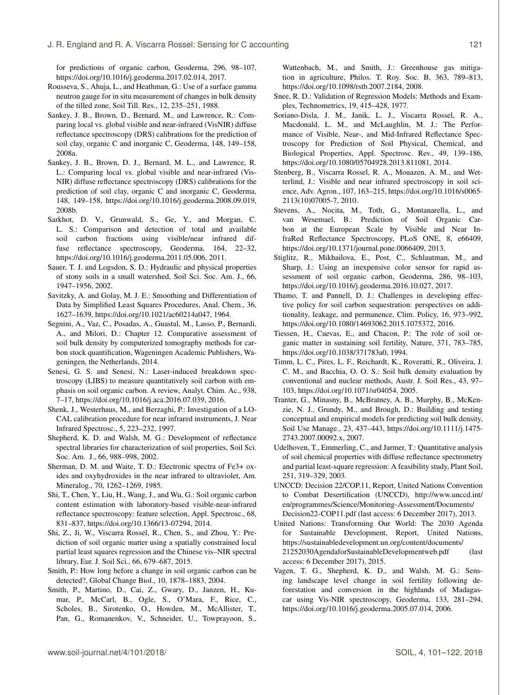for predictions of organic carbon, Geoderma, 296, 98–107, https://doi.org[/10.1016/j.geoderma.2017.02.014,](https://doi.org/10.1016/j.geoderma.2017.02.014) 2017.

- <span id="page-20-12"></span>Rousseva, S., Ahuja, L., and Heathman, G.: Use of a surface gamma neutron gauge for in situ measurement of changes in bulk density of the tilled zone, Soil Till. Res., 12, 235–251, 1988.
- <span id="page-20-24"></span>Sankey, J. B., Brown, D., Bernard, M., and Lawrence, R.: Comparing local vs. global visible and near-infrared (VisNIR) diffuse reflectance spectroscopy (DRS) calibrations for the prediction of soil clay, organic C and inorganic C, Geoderma, 148, 149–158, 2008a.
- <span id="page-20-16"></span>Sankey, J. B., Brown, D. J., Bernard, M. L., and Lawrence, R. L.: Comparing local vs. global visible and near-infrared (Vis-NIR) diffuse reflectance spectroscopy (DRS) calibrations for the prediction of soil clay, organic C and inorganic C, Geoderma, 148, 149–158, https://doi.org[/10.1016/j.geoderma.2008.09.019,](https://doi.org/10.1016/j.geoderma.2008.09.019) 2008b.
- <span id="page-20-17"></span>Sarkhot, D. V., Grunwald, S., Ge, Y., and Morgan, C. L. S.: Comparison and detection of total and available soil carbon fractions using visible/near infrared diffuse reflectance spectroscopy, Geoderma, 164, 22–32, https://doi.org[/10.1016/j.geoderma.2011.05.006,](https://doi.org/10.1016/j.geoderma.2011.05.006) 2011.
- <span id="page-20-15"></span>Sauer, T. J. and Logsdon, S. D.: Hydraulic and physical properties of stony soils in a small watershed, Soil Sci. Soc. Am. J., 66, 1947–1956, 2002.
- <span id="page-20-27"></span>Savitzky, A. and Golay, M. J. E.: Smoothing and Differentiation of Data by Simplified Least Squares Procedures, Anal. Chem., 36, 1627–1639, https://doi.org[/10.1021/ac60214a047,](https://doi.org/10.1021/ac60214a047) 1964.
- <span id="page-20-13"></span>Segnini, A., Vaz, C., Posadas, A., Guastal, M., Lasso, P., Bernardi, A., and Milori, D.: Chapter 12. Comparative assessment of soil bulk density by computerized tomography methods for carbon stock quantification, Wageningen Academic Publishers, Wageningen, the Netherlands, 2014.
- <span id="page-20-10"></span>Senesi, G. S. and Senesi, N.: Laser-induced breakdown spectroscopy (LIBS) to measure quantitatively soil carbon with emphasis on soil organic carbon. A review, Analyt. Chim. Ac., 938, 7–17, https://doi.org[/10.1016/j.aca.2016.07.039,](https://doi.org/10.1016/j.aca.2016.07.039) 2016.
- <span id="page-20-23"></span>Shenk, J., Westerhaus, M., and Berzaghi, P.: Investigation of a LO-CAL calibration procedure for near infrared instruments, J. Near Infrared Spectrosc., 5, 223–232, 1997.
- <span id="page-20-21"></span>Shepherd, K. D. and Walsh, M. G.: Development of reflectance spectral libraries for characterization of soil properties, Soil Sci. Soc. Am. J., 66, 988–998, 2002.
- <span id="page-20-8"></span>Sherman, D. M. and Waite, T. D.: Electronic spectra of Fe3+ oxides and oxyhydroxides in the near infrared to ultraviolet, Am. Mineralog., 70, 1262–1269, 1985.
- <span id="page-20-18"></span>Shi, T., Chen, Y., Liu, H., Wang, J., and Wu, G.: Soil organic carbon content estimation with laboratory-based visible-near-infrared reflectance spectroscopy: feature selection, Appl. Spectrosc., 68, 831–837, https://doi.org[/10.1366/13-07294,](https://doi.org/10.1366/13-07294) 2014.
- <span id="page-20-25"></span>Shi, Z., Ji, W., Viscarra Rossel, R., Chen, S., and Zhou, Y.: Prediction of soil organic matter using a spatially constrained local partial least squares regression and the Chinese vis–NIR spectral library, Eur. J. Soil Sci., 66, 679–687, 2015.
- <span id="page-20-4"></span>Smith, P.: How long before a change in soil organic carbon can be detected?, Global Change Biol., 10, 1878–1883, 2004.
- <span id="page-20-3"></span>Smith, P., Martino, D., Cai, Z., Gwary, D., Janzen, H., Kumar, P., McCarl, B., Ogle, S., O'Mara, F., Rice, C., Scholes, B., Sirotenko, O., Howden, M., McAllister, T., Pan, G., Romanenkov, V., Schneider, U., Towprayoon, S.,

Wattenbach, M., and Smith, J.: Greenhouse gas mitigation in agriculture, Philos. T. Roy. Soc. B, 363, 789–813, https://doi.org[/10.1098/rstb.2007.2184,](https://doi.org/10.1098/rstb.2007.2184) 2008.

- <span id="page-20-26"></span>Snee, R. D.: Validation of Regression Models: Methods and Examples, Technometrics, 19, 415–428, 1977.
- <span id="page-20-9"></span>Soriano-Disla, J. M., Janik, L. J., Viscarra Rossel, R. A., Macdonald, L. M., and McLaughlin, M. J.: The Performance of Visible, Near-, and Mid-Infrared Reflectance Spectroscopy for Prediction of Soil Physical, Chemical, and Biological Properties, Appl. Spectrosc. Rev., 49, 139–186, https://doi.org[/10.1080/05704928.2013.811081,](https://doi.org/10.1080/05704928.2013.811081) 2014.
- <span id="page-20-5"></span>Stenberg, B., Viscarra Rossel, R. A., Mouazen, A. M., and Wetterlind, J.: Visible and near infrared spectroscopy in soil science, Adv. Agron., 107, 163–215, https://doi.org[/10.1016/s0065-](https://doi.org/10.1016/s0065-2113(10)07005-7) [2113\(10\)07005-7,](https://doi.org/10.1016/s0065-2113(10)07005-7) 2010.
- <span id="page-20-22"></span>Stevens, A., Nocita, M., Toth, G., Montanarella, L., and van Wesemael, B.: Prediction of Soil Organic Carbon at the European Scale by Visible and Near InfraRed Reflectance Spectroscopy, PLoS ONE, 8, e66409, https://doi.org[/10.1371/journal.pone.0066409,](https://doi.org/10.1371/journal.pone.0066409) 2013.
- <span id="page-20-7"></span>Stiglitz, R., Mikhailova, E., Post, C., Schlautman, M., and Sharp, J.: Using an inexpensive color sensor for rapid assessment of soil organic carbon, Geoderma, 286, 98–103, https://doi.org[/10.1016/j.geoderma.2016.10.027,](https://doi.org/10.1016/j.geoderma.2016.10.027) 2017.
- <span id="page-20-6"></span>Thamo, T. and Pannell, D. J.: Challenges in developing effective policy for soil carbon sequestration: perspectives on additionality, leakage, and permanence, Clim. Policy, 16, 973–992, https://doi.org[/10.1080/14693062.2015.1075372,](https://doi.org/10.1080/14693062.2015.1075372) 2016.
- <span id="page-20-0"></span>Tiessen, H., Cuevas, E., and Chacon, P.: The role of soil organic matter in sustaining soil fertility, Nature, 371, 783–785, https://doi.org[/10.1038/371783a0,](https://doi.org/10.1038/371783a0) 1994.
- <span id="page-20-11"></span>Timm, L. C., Pires, L. F., Reichardt, K., Roveratti, R., Oliveira, J. C. M., and Bacchia, O. O. S.: Soil bulk density evaluation by conventional and nuclear methods, Austr. J. Soil Res., 43, 97– 103, https://doi.org[/10.1071/sr04054,](https://doi.org/10.1071/sr04054) 2005.
- <span id="page-20-14"></span>Tranter, G., Minasny, B., McBratney, A. B., Murphy, B., McKenzie, N. J., Grundy, M., and Brough, D.: Building and testing conceptual and empirical models for predicting soil bulk density, Soil Use Manage., 23, 437–443, https://doi.org[/10.1111/j.1475-](https://doi.org/10.1111/j.1475-2743.2007.00092.x) [2743.2007.00092.x,](https://doi.org/10.1111/j.1475-2743.2007.00092.x) 2007.
- <span id="page-20-19"></span>Udelhoven, T., Emmerling, C., and Jarmer, T.: Quantitative analysis of soil chemical properties with diffuse reflectance spectrometry and partial least-square regression: A feasibility study, Plant Soil, 251, 319–329, 2003.
- <span id="page-20-2"></span>UNCCD: Decision 22/COP.11, Report, United Nations Convention to Combat Desertification (UNCCD), [http://www.unccd.int/](http://www.unccd.int/en/programmes/Science/Monitoring-Assessment/Documents/Decision22-COP11.pdf) [en/programmes/Science/Monitoring-Assessment/Documents/](http://www.unccd.int/en/programmes/Science/Monitoring-Assessment/Documents/Decision22-COP11.pdf) [Decision22-COP11.pdf](http://www.unccd.int/en/programmes/Science/Monitoring-Assessment/Documents/Decision22-COP11.pdf) (last access: 6 December 2017), 2013.
- <span id="page-20-1"></span>United Nations: Transforming Our World: The 2030 Agenda for Sustainable Development, Report, United Nations, [https://sustainabledevelopment.un.org/content/documents/](https://sustainabledevelopment.un.org/content/documents/21252030 Agenda for Sustainable Development web.pdf) [21252030AgendaforSustainableDevelopmentweb.pdf](https://sustainabledevelopment.un.org/content/documents/21252030 Agenda for Sustainable Development web.pdf) (last access: 6 December 2017), 2015.
- <span id="page-20-20"></span>Vagen, T. G., Shepherd, K. D., and Walsh, M. G.: Sensing landscape level change in soil fertility following deforestation and conversion in the highlands of Madagascar using Vis-NIR spectroscopy, Geoderma, 133, 281–294, https://doi.org[/10.1016/j.geoderma.2005.07.014,](https://doi.org/10.1016/j.geoderma.2005.07.014) 2006.